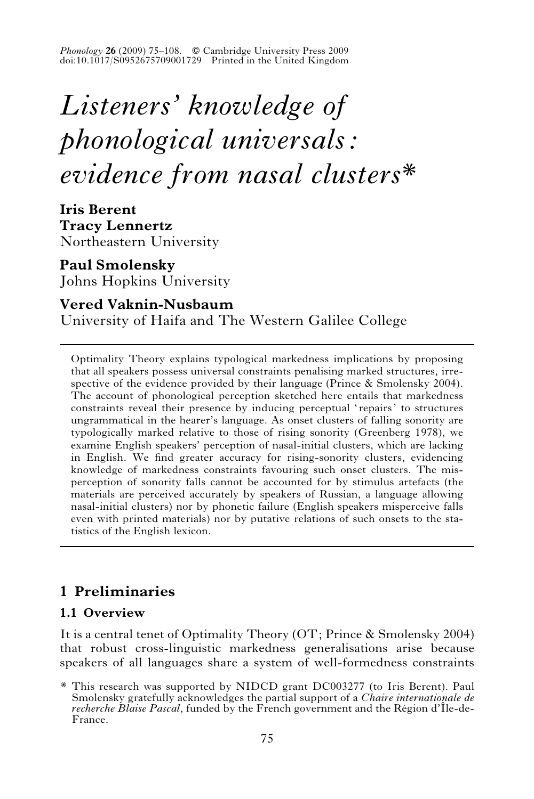*Phonology* 26 (2009) 75–108. © Cambridge University Press 2009 doi:10.1017/S0952675709001729 Printed in the United Kingdom

# *Listeners' knowledge of phonological universals: evidence from nasal clusters\**

**Iris Berent Tracy Lennertz** Northeastern University

**Paul Smolensky** Johns Hopkins University

# **Vered Vaknin-Nusbaum**

University of Haifa and The Western Galilee College

Optimality Theory explains typological markedness implications by proposing that all speakers possess universal constraints penalising marked structures, irrespective of the evidence provided by their language (Prince  $\&$  Smolensky 2004). The account of phonological perception sketched here entails that markedness constraints reveal their presence by inducing perceptual 'repairs' to structures ungrammatical in the hearer's language. As onset clusters of falling sonority are typologically marked relative to those of rising sonority (Greenberg 1978), we examine English speakers' perception of nasal-initial clusters, which are lacking in English. We find greater accuracy for rising-sonority clusters, evidencing knowledge of markedness constraints favouring such onset clusters. The misperception of sonority falls cannot be accounted for by stimulus artefacts (the materials are perceived accurately by speakers of Russian, a language allowing nasal-initial clusters) nor by phonetic failure (English speakers misperceive falls even with printed materials) nor by putative relations of such onsets to the statistics of the English lexicon.

# **1 Preliminaries**

# **1.1 Overview**

It is a central tenet of Optimality Theory (OT; Prince & Smolensky 2004) that robust cross-linguistic markedness generalisations arise because speakers of all languages share a system of well-formedness constraints

<sup>\*</sup> This research was supported by NIDCD grant DC003277 (to Iris Berent). Paul Smolensky gratefully acknowledges the partial support of a *Chaire internationale de recherche Blaise Pascal*, funded by the French government and the Région d'Île-de-France.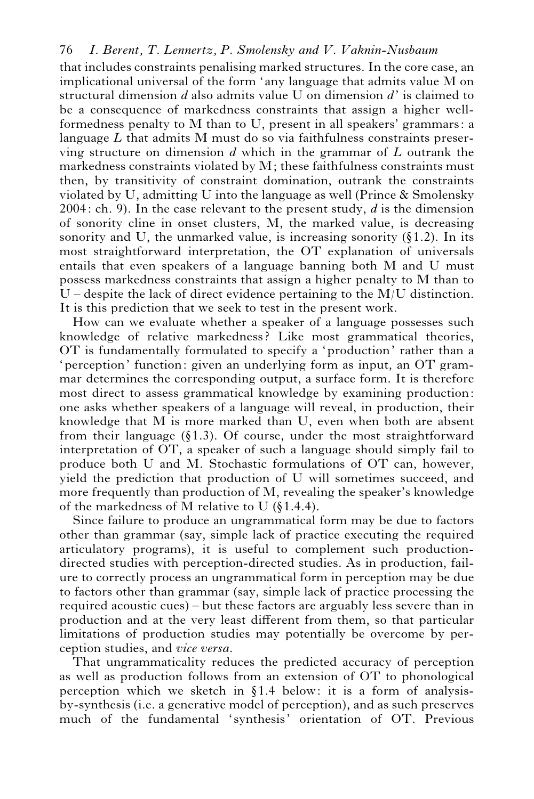that includes constraints penalising marked structures. In the core case, an implicational universal of the form 'any language that admits value M on structural dimension *d* also admits value U on dimension *d*' is claimed to be a consequence of markedness constraints that assign a higher wellformedness penalty to M than to U, present in all speakers' grammars: a language *L* that admits M must do so via faithfulness constraints preserving structure on dimension *d* which in the grammar of *L* outrank the markedness constraints violated by M; these faithfulness constraints must then, by transitivity of constraint domination, outrank the constraints violated by U, admitting U into the language as well (Prince & Smolensky 2004: ch. 9). In the case relevant to the present study, *d* is the dimension of sonority cline in onset clusters, M, the marked value, is decreasing sonority and U, the unmarked value, is increasing sonority  $(\S 1.2)$ . In its most straightforward interpretation, the OT explanation of universals entails that even speakers of a language banning both M and U must possess markedness constraints that assign a higher penalty to M than to  $U$  – despite the lack of direct evidence pertaining to the M/U distinction. It is this prediction that we seek to test in the present work.

How can we evaluate whether a speaker of a language possesses such knowledge of relative markedness? Like most grammatical theories, OT is fundamentally formulated to specify a 'production' rather than a 'perception' function: given an underlying form as input, an OT grammar determines the corresponding output, a surface form. It is therefore most direct to assess grammatical knowledge by examining production: one asks whether speakers of a language will reveal, in production, their knowledge that M is more marked than U, even when both are absent from their language  $(\S1.3)$ . Of course, under the most straightforward interpretation of OT, a speaker of such a language should simply fail to produce both U and M. Stochastic formulations of OT can, however, yield the prediction that production of U will sometimes succeed, and more frequently than production of M, revealing the speaker's knowledge of the markedness of M relative to U  $(\S1.4.4)$ .

Since failure to produce an ungrammatical form may be due to factors other than grammar (say, simple lack of practice executing the required articulatory programs), it is useful to complement such productiondirected studies with perception-directed studies. As in production, failure to correctly process an ungrammatical form in perception may be due to factors other than grammar (say, simple lack of practice processing the required acoustic cues) – but these factors are arguably less severe than in production and at the very least different from them, so that particular limitations of production studies may potentially be overcome by perception studies, and *vice versa*.

That ungrammaticality reduces the predicted accuracy of perception as well as production follows from an extension of OT to phonological perception which we sketch in  $§1.4$  below: it is a form of analysisby-synthesis (i.e. a generative model of perception), and as such preserves much of the fundamental 'synthesis' orientation of OT. Previous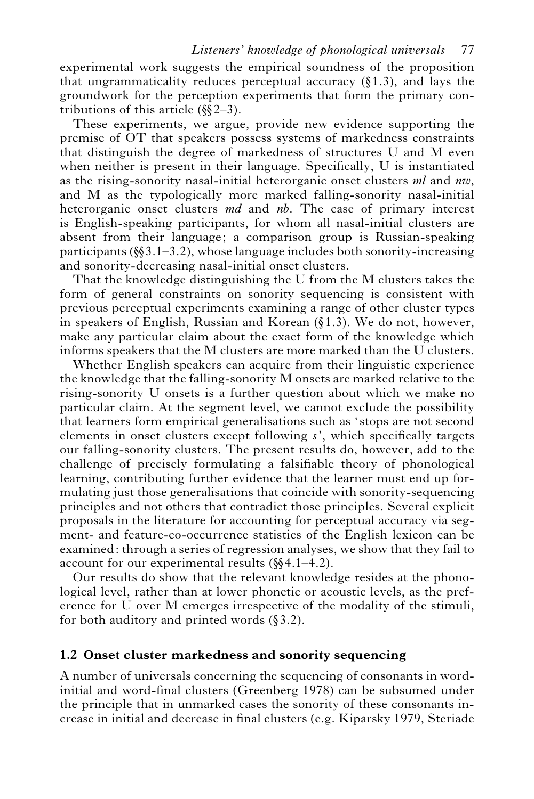experimental work suggests the empirical soundness of the proposition that ungrammaticality reduces perceptual accuracy  $(\S 1.3)$ , and lays the groundwork for the perception experiments that form the primary contributions of this article  $(\frac{6}{2} - 3)$ .

These experiments, we argue, provide new evidence supporting the premise of OT that speakers possess systems of markedness constraints that distinguish the degree of markedness of structures U and M even when neither is present in their language. Specifically, U is instantiated as the rising-sonority nasal-initial heterorganic onset clusters *ml* and *nw*, and M as the typologically more marked falling-sonority nasal-initial heterorganic onset clusters *md* and *nb*. The case of primary interest is English-speaking participants, for whom all nasal-initial clusters are absent from their language; a comparison group is Russian-speaking participants ( $\S$ 3.1–3.2), whose language includes both sonority-increasing and sonority-decreasing nasal-initial onset clusters.

That the knowledge distinguishing the U from the M clusters takes the form of general constraints on sonority sequencing is consistent with previous perceptual experiments examining a range of other cluster types in speakers of English, Russian and Korean  $(§1.3)$ . We do not, however, make any particular claim about the exact form of the knowledge which informs speakers that the M clusters are more marked than the U clusters.

Whether English speakers can acquire from their linguistic experience the knowledge that the falling-sonority M onsets are marked relative to the rising-sonority U onsets is a further question about which we make no particular claim. At the segment level, we cannot exclude the possibility that learners form empirical generalisations such as 'stops are not second elements in onset clusters except following *s*', which specifically targets our falling-sonority clusters. The present results do, however, add to the challenge of precisely formulating a falsifiable theory of phonological learning, contributing further evidence that the learner must end up formulating just those generalisations that coincide with sonority-sequencing principles and not others that contradict those principles. Several explicit proposals in the literature for accounting for perceptual accuracy via segment- and feature-co-occurrence statistics of the English lexicon can be examined: through a series of regression analyses, we show that they fail to account for our experimental results  $(\frac{1}{3}, 1, -4.2)$ .

Our results do show that the relevant knowledge resides at the phonological level, rather than at lower phonetic or acoustic levels, as the preference for U over M emerges irrespective of the modality of the stimuli, for both auditory and printed words  $(\S 3.2)$ .

#### **1.2 Onset cluster markedness and sonority sequencing**

A number of universals concerning the sequencing of consonants in wordinitial and word-final clusters (Greenberg 1978) can be subsumed under the principle that in unmarked cases the sonority of these consonants increase in initial and decrease in final clusters (e.g. Kiparsky 1979, Steriade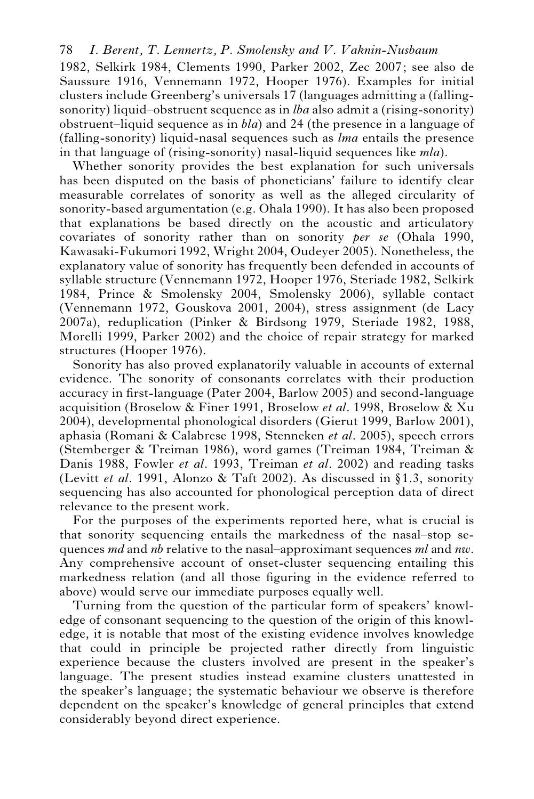1982, Selkirk 1984, Clements 1990, Parker 2002, Zec 2007; see also de Saussure 1916, Vennemann 1972, Hooper 1976). Examples for initial clusters include Greenberg's universals 17 (languages admitting a (fallingsonority) liquid–obstruent sequence as in *lba* also admit a (rising-sonority) obstruent–liquid sequence as in *bla*) and 24 (the presence in a language of (falling-sonority) liquid-nasal sequences such as *lma* entails the presence in that language of (rising-sonority) nasal-liquid sequences like *mla*).

Whether sonority provides the best explanation for such universals has been disputed on the basis of phoneticians' failure to identify clear measurable correlates of sonority as well as the alleged circularity of sonority-based argumentation (e.g. Ohala 1990). It has also been proposed that explanations be based directly on the acoustic and articulatory covariates of sonority rather than on sonority *per se* (Ohala 1990, Kawasaki-Fukumori 1992, Wright 2004, Oudeyer 2005). Nonetheless, the explanatory value of sonority has frequently been defended in accounts of syllable structure (Vennemann 1972, Hooper 1976, Steriade 1982, Selkirk 1984, Prince & Smolensky 2004, Smolensky 2006), syllable contact (Vennemann 1972, Gouskova 2001, 2004), stress assignment (de Lacy 2007a), reduplication (Pinker & Birdsong 1979, Steriade 1982, 1988, Morelli 1999, Parker 2002) and the choice of repair strategy for marked structures (Hooper 1976).

Sonority has also proved explanatorily valuable in accounts of external evidence. The sonority of consonants correlates with their production accuracy in first-language (Pater 2004, Barlow 2005) and second-language acquisition (Broselow & Finer 1991, Broselow *et al*. 1998, Broselow & Xu 2004), developmental phonological disorders (Gierut 1999, Barlow 2001), aphasia (Romani & Calabrese 1998, Stenneken *et al*. 2005), speech errors (Stemberger & Treiman 1986), word games (Treiman 1984, Treiman & Danis 1988, Fowler *et al*. 1993, Treiman *et al*. 2002) and reading tasks (Levitt *et al.* 1991, Alonzo & Taft 2002). As discussed in §1.3, sonority sequencing has also accounted for phonological perception data of direct relevance to the present work.

For the purposes of the experiments reported here, what is crucial is that sonority sequencing entails the markedness of the nasal–stop sequences *md* and *nb* relative to the nasal–approximant sequences *ml* and *nw*. Any comprehensive account of onset-cluster sequencing entailing this markedness relation (and all those figuring in the evidence referred to above) would serve our immediate purposes equally well.

Turning from the question of the particular form of speakers' knowledge of consonant sequencing to the question of the origin of this knowledge, it is notable that most of the existing evidence involves knowledge that could in principle be projected rather directly from linguistic experience because the clusters involved are present in the speaker's language. The present studies instead examine clusters unattested in the speaker's language; the systematic behaviour we observe is therefore dependent on the speaker's knowledge of general principles that extend considerably beyond direct experience.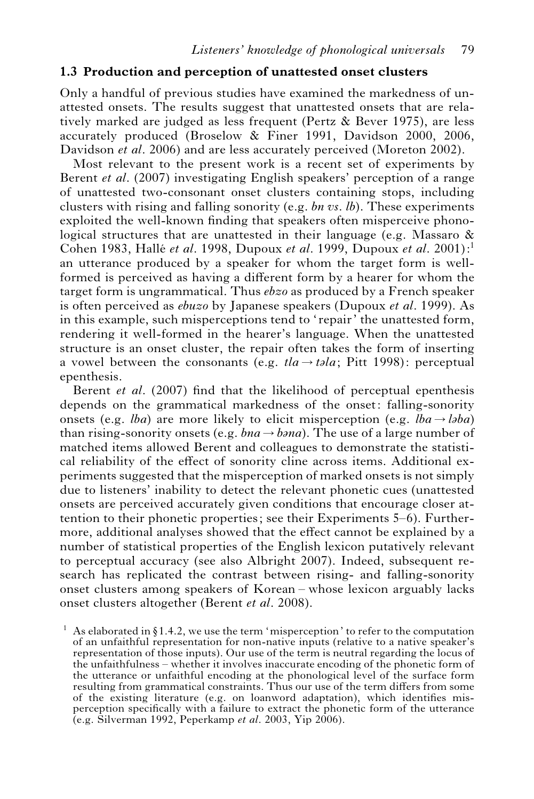#### **1.3 Production and perception of unattested onset clusters**

Only a handful of previous studies have examined the markedness of unattested onsets. The results suggest that unattested onsets that are relatively marked are judged as less frequent (Pertz & Bever 1975), are less accurately produced (Broselow & Finer 1991, Davidson 2000, 2006, Davidson *et al*. 2006) and are less accurately perceived (Moreton 2002).

Most relevant to the present work is a recent set of experiments by Berent *et al*. (2007) investigating English speakers' perception of a range of unattested two-consonant onset clusters containing stops, including clusters with rising and falling sonority (e.g. *bn vs. lb*). These experiments exploited the well-known finding that speakers often misperceive phonological structures that are unattested in their language (e.g. Massaro & Cohen 1983, Halle´ *et al*. 1998, Dupoux *et al*. 1999, Dupoux *et al*. 2001):1 an utterance produced by a speaker for whom the target form is wellformed is perceived as having a different form by a hearer for whom the target form is ungrammatical. Thus *ebzo* as produced by a French speaker is often perceived as *ebuzo* by Japanese speakers (Dupoux *et al*. 1999). As in this example, such misperceptions tend to 'repair' the unattested form, rendering it well-formed in the hearer's language. When the unattested structure is an onset cluster, the repair often takes the form of inserting a vowel between the consonants (e.g.  $t/a \rightarrow tola$ ; Pitt 1998): perceptual epenthesis.

Berent *et al*. (2007) find that the likelihood of perceptual epenthesis depends on the grammatical markedness of the onset: falling-sonority onsets (e.g. *lba*) are more likely to elicit misperception (e.g. *lba* $\rightarrow$  *laba*) than rising-sonority onsets (e.g.  $bna \rightarrow bana$ ). The use of a large number of matched items allowed Berent and colleagues to demonstrate the statistical reliability of the effect of sonority cline across items. Additional experiments suggested that the misperception of marked onsets is not simply due to listeners' inability to detect the relevant phonetic cues (unattested onsets are perceived accurately given conditions that encourage closer attention to their phonetic properties; see their Experiments 5–6). Furthermore, additional analyses showed that the effect cannot be explained by a number of statistical properties of the English lexicon putatively relevant to perceptual accuracy (see also Albright 2007). Indeed, subsequent research has replicated the contrast between rising- and falling-sonority onset clusters among speakers of Korean – whose lexicon arguably lacks onset clusters altogether (Berent *et al*. 2008).

As elaborated in  $\S 1.4.2$ , we use the term 'misperception' to refer to the computation of an unfaithful representation for non-native inputs (relative to a native speaker's representation of those inputs). Our use of the term is neutral regarding the locus of the unfaithfulness – whether it involves inaccurate encoding of the phonetic form of the utterance or unfaithful encoding at the phonological level of the surface form resulting from grammatical constraints. Thus our use of the term differs from some of the existing literature (e.g. on loanword adaptation), which identifies misperception specifically with a failure to extract the phonetic form of the utterance (e.g. Silverman 1992, Peperkamp *et al*. 2003, Yip 2006).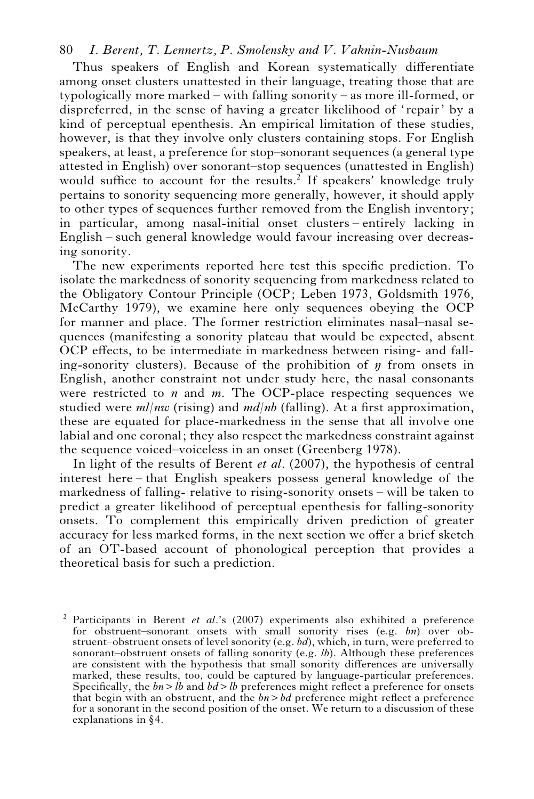Thus speakers of English and Korean systematically differentiate among onset clusters unattested in their language, treating those that are typologically more marked – with falling sonority – as more ill-formed, or dispreferred, in the sense of having a greater likelihood of 'repair' by a kind of perceptual epenthesis. An empirical limitation of these studies, however, is that they involve only clusters containing stops. For English speakers, at least, a preference for stop–sonorant sequences (a general type attested in English) over sonorant–stop sequences (unattested in English) would suffice to account for the results.<sup>2</sup> If speakers' knowledge truly pertains to sonority sequencing more generally, however, it should apply to other types of sequences further removed from the English inventory; in particular, among nasal-initial onset clusters – entirely lacking in English – such general knowledge would favour increasing over decreasing sonority.

The new experiments reported here test this specific prediction. To isolate the markedness of sonority sequencing from markedness related to the Obligatory Contour Principle (OCP; Leben 1973, Goldsmith 1976, McCarthy 1979), we examine here only sequences obeying the OCP for manner and place. The former restriction eliminates nasal–nasal sequences (manifesting a sonority plateau that would be expected, absent OCP effects, to be intermediate in markedness between rising- and falling-sonority clusters). Because of the prohibition of  $\eta$  from onsets in English, another constraint not under study here, the nasal consonants were restricted to *n* and *m*. The OCP-place respecting sequences we studied were *ml*/*nw* (rising) and *md/nb* (falling). At a first approximation, these are equated for place-markedness in the sense that all involve one labial and one coronal; they also respect the markedness constraint against the sequence voiced–voiceless in an onset (Greenberg 1978).

In light of the results of Berent *et al*. (2007), the hypothesis of central interest here – that English speakers possess general knowledge of the markedness of falling- relative to rising-sonority onsets – will be taken to predict a greater likelihood of perceptual epenthesis for falling-sonority onsets. To complement this empirically driven prediction of greater accuracy for less marked forms, in the next section we offer a brief sketch of an OT-based account of phonological perception that provides a theoretical basis for such a prediction.

<sup>2</sup> Participants in Berent *et al*.'s (2007) experiments also exhibited a preference for obstruent–sonorant onsets with small sonority rises (e.g. *bn*) over obstruent–obstruent onsets of level sonority (e.g. *bd*), which, in turn, were preferred to sonorant–obstruent onsets of falling sonority (e.g. *lb*). Although these preferences are consistent with the hypothesis that small sonority differences are universally marked, these results, too, could be captured by language-particular preferences. Specifically, the  $bn > lb$  and  $bd > lb$  preferences might reflect a preference for onsets that begin with an obstruent, and the *bn*>*bd* preference might reflect a preference for a sonorant in the second position of the onset. We return to a discussion of these explanations in  $§4$ .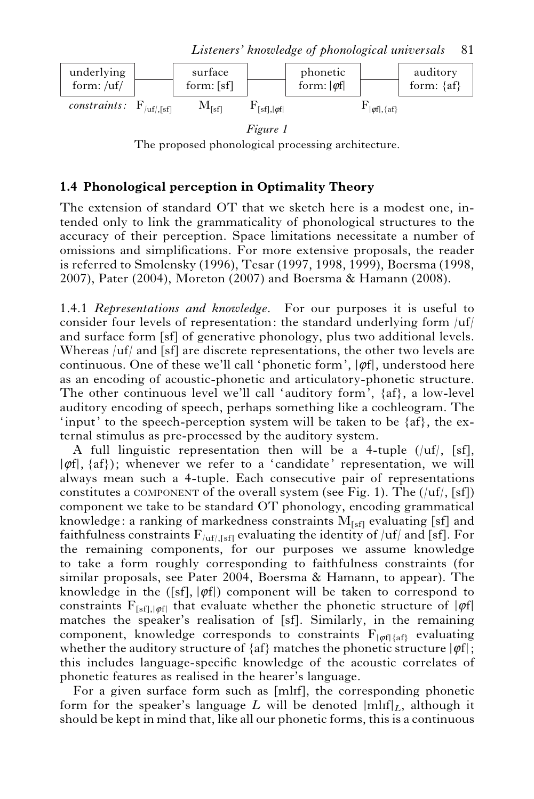

The proposed phonological processing architecture.

# **1.4 Phonological perception in Optimality Theory**

The extension of standard OT that we sketch here is a modest one, intended only to link the grammaticality of phonological structures to the accuracy of their perception. Space limitations necessitate a number of omissions and simplifications. For more extensive proposals, the reader is referred to Smolensky (1996), Tesar (1997, 1998, 1999), Boersma (1998, 2007), Pater (2004), Moreton (2007) and Boersma & Hamann (2008).

1.4.1 *Representations and knowledge.* For our purposes it is useful to consider four levels of representation: the standard underlying form  $\mu$ f and surface form [sf] of generative phonology, plus two additional levels. Whereas /uf/ and [sf] are discrete representations, the other two levels are continuous. One of these we'll call 'phonetic form',  $|\varphi f|$ , understood here as an encoding of acoustic-phonetic and articulatory-phonetic structure. The other continuous level we'll call 'auditory form', {af}, a low-level auditory encoding of speech, perhaps something like a cochleogram. The 'input' to the speech-perception system will be taken to be  $\{af\}$ , the external stimulus as pre-processed by the auditory system.

A full linguistic representation then will be a 4-tuple  $(|\mathrm{uf}|, | \mathrm{sf}|,$  $|\varphi f|$ ,  $\{af\}$ ); whenever we refer to a 'candidate' representation, we will always mean such a 4-tuple. Each consecutive pair of representations constitutes a COMPONENT of the overall system (see Fig. 1). The  $(|uf|, [sf])$ component we take to be standard OT phonology, encoding grammatical knowledge: a ranking of markedness constraints  $M<sub>[sf]</sub>$  evaluating [sf] and faithfulness constraints  $F_{/uf/[sf]}$  evaluating the identity of /uf/ and [sf]. For the remaining components, for our purposes we assume knowledge to take a form roughly corresponding to faithfulness constraints (for similar proposals, see Pater 2004, Boersma & Hamann, to appear). The knowledge in the ([sf],  $|\varphi f|$ ) component will be taken to correspond to constraints  $F_{[sf],[\varphi\mathfrak{f}]}$  that evaluate whether the phonetic structure of  $|\varphi\mathfrak{f}|$ matches the speaker's realisation of [sf]. Similarly, in the remaining component, knowledge corresponds to constraints  $F_{\text{left}\{a\text{f}\}\}$  evaluating whether the auditory structure of  $\{af\}$  matches the phonetic structure  $|\varphi f|$ ; this includes language-specific knowledge of the acoustic correlates of phonetic features as realised in the hearer's language.

For a given surface form such as [mlif], the corresponding phonetic form for the speaker's language *L* will be denoted  $\text{mIf}|_{L}$ , although it should be kept in mind that, like all our phonetic forms, this is a continuous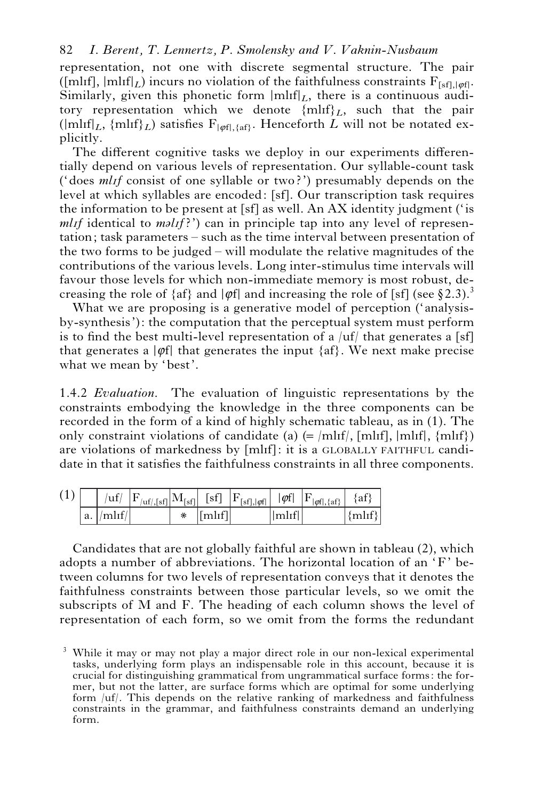representation, not one with discrete segmental structure. The pair ([ml<sub>If</sub>],  $|\text{mlif}|_L$ ) incurs no violation of the faithfulness constraints  $F_{\text{fsfl}}|_{\text{soft}}$ . Similarly, given this phonetic form  $\text{Im}\left\|\mathbf{r}\right\|_{L}$ , there is a continuous auditory representation which we denote  $\{\text{mliff}\}_L$ , such that the pair  $(\text{mlnf}|_{L}$ ,  $\{\text{mlnf}\}_{L}$ ) satisfies  $F_{\text{soft,4aft}}$ . Henceforth *L* will not be notated explicitly.

The different cognitive tasks we deploy in our experiments differentially depend on various levels of representation. Our syllable-count task ('does *ml*I*f* consist of one syllable or two?') presumably depends on the level at which syllables are encoded: [sf]. Our transcription task requires the information to be present at [sf] as well. An AX identity judgment ('is  $mlif$  identical to  $m\ellIf$ ?') can in principle tap into any level of representation; task parameters – such as the time interval between presentation of the two forms to be judged – will modulate the relative magnitudes of the contributions of the various levels. Long inter-stimulus time intervals will favour those levels for which non-immediate memory is most robust, decreasing the role of  $\{af\}$  and  $|\varphi f|$  and increasing the role of [sf] (see §2.3).<sup>3</sup>

What we are proposing is a generative model of perception ('analysisby-synthesis'): the computation that the perceptual system must perform is to find the best multi-level representation of a  $\vert uf \vert$  that generates a [sf] that generates a  $|\varphi f|$  that generates the input  $\{af\}$ . We next make precise what we mean by 'best'.

1.4.2 *Evaluation.* The evaluation of linguistic representations by the constraints embodying the knowledge in the three components can be recorded in the form of a kind of highly schematic tableau, as in (1). The only constraint violations of candidate (a)  $(=$   $\vert \text{mlif} \vert, \vert \text{mlif} \vert, \vert \text{mlif} \vert)$ are violations of markedness by [mlIf]: it is a GLOBALLY FAITHFUL candidate in that it satisfies the faithfulness constraints in all three components.

| (1) |                      |  |                                 |   | $ \mathbf{u}f  \left  \mathbf{F}_{\text{inf, [sf]}} \right  \mathbf{M}_{\text{[sf]}} \left  \mathbf{F}_{\text{[sf], [\phi f]}} \right  \left  \phi f \right  \left  \mathbf{F}_{\text{[eff], \{af\}}} \right  \{af\}$ |         |
|-----|----------------------|--|---------------------------------|---|-----------------------------------------------------------------------------------------------------------------------------------------------------------------------------------------------------------------------|---------|
|     | $ a. /m l \cdot f/ $ |  | $*$ $\lceil \text{mlif} \rceil$ | m |                                                                                                                                                                                                                       | ${mlf}$ |

Candidates that are not globally faithful are shown in tableau (2), which adopts a number of abbreviations. The horizontal location of an 'F' between columns for two levels of representation conveys that it denotes the faithfulness constraints between those particular levels, so we omit the subscripts of M and F. The heading of each column shows the level of representation of each form, so we omit from the forms the redundant

<sup>&</sup>lt;sup>3</sup> While it may or may not play a major direct role in our non-lexical experimental tasks, underlying form plays an indispensable role in this account, because it is crucial for distinguishing grammatical from ungrammatical surface forms: the former, but not the latter, are surface forms which are optimal for some underlying form /uf/. This depends on the relative ranking of markedness and faithfulness constraints in the grammar, and faithfulness constraints demand an underlying form.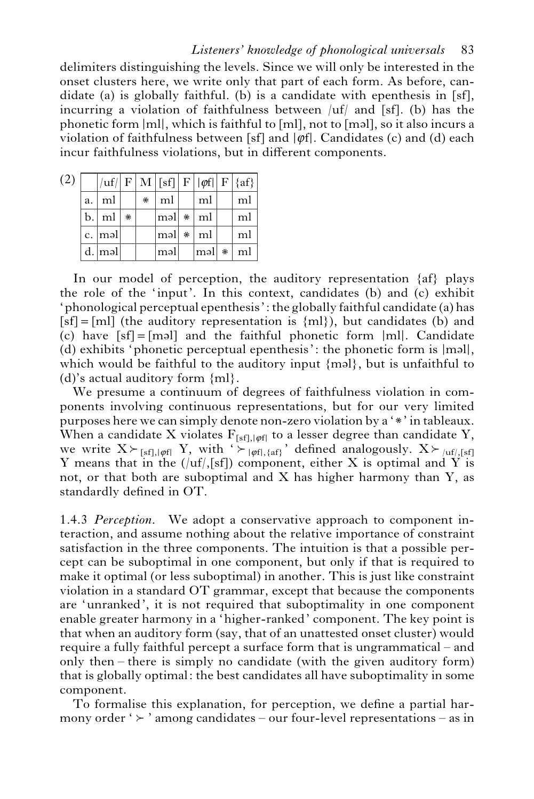delimiters distinguishing the levels. Since we will only be interested in the onset clusters here, we write only that part of each form. As before, candidate (a) is globally faithful. (b) is a candidate with epenthesis in [sf], incurring a violation of faithfulness between  $\mu(f)$  and [sf]. (b) has the phonetic form  $|m|$ , which is faithful to [ml], not to [mal], so it also incurs a violation of faithfulness between [sf] and  $|\varphi f|$ . Candidates (c) and (d) each incur faithfulness violations, but in different components.

| (2) |       |        |   |   |                     |     |     |   | uf   F   M   sf]  F    $\varphi f$    F   {af} |
|-----|-------|--------|---|---|---------------------|-----|-----|---|------------------------------------------------|
|     | a.    | ml     |   | * | ml                  |     | ml  |   | ml                                             |
|     | b.    | ml     | ⋇ |   | $\vert$ məl $\vert$ | * ∣ | ml  |   | ml                                             |
|     | $c$ . | məl    |   |   | $ m$ əl             | * ∣ | ml  |   | ml                                             |
|     |       | d. məl |   |   | məl                 |     | məl | ∗ | ml                                             |

In our model of perception, the auditory representation {af} plays the role of the 'input'. In this context, candidates (b) and (c) exhibit 'phonological perceptual epenthesis': the globally faithful candidate (a) has  $[sf] = [ml]$  (the auditory representation is  ${ml}$ ), but candidates (b) and (c) have  $\lceil s f \rceil = \lceil m s \rceil$  and the faithful phonetic form  $\lceil m \rceil$ . Candidate (d) exhibits 'phonetic perceptual epenthesis': the phonetic form is  $|m=1|$ , which would be faithful to the auditory input  ${mcl}$ , but is unfaithful to (d)'s actual auditory form {ml}.

We presume a continuum of degrees of faithfulness violation in components involving continuous representations, but for our very limited purposes here we can simply denote non-zero violation by a '\*' in tableaux. When a candidate X violates  $F_{[sf],|\varphi f|}$  to a lesser degree than candidate Y, we write  $X \succ_{[sf],[\varphi f]} Y$ , with  $\rightarrow$   $|_{\varphi f|, \{af\}}$  defined analogously.  $X \succ_{[uf],[sf]}$ Y means that in the  $(|uf|,[sf])$  component, either X is optimal and Y is not, or that both are suboptimal and  $X$  has higher harmony than  $Y$ , as standardly defined in OT.

1.4.3 *Perception.* We adopt a conservative approach to component interaction, and assume nothing about the relative importance of constraint satisfaction in the three components. The intuition is that a possible percept can be suboptimal in one component, but only if that is required to make it optimal (or less suboptimal) in another. This is just like constraint violation in a standard OT grammar, except that because the components are 'unranked', it is not required that suboptimality in one component enable greater harmony in a 'higher-ranked' component. The key point is that when an auditory form (say, that of an unattested onset cluster) would require a fully faithful percept a surface form that is ungrammatical – and only then – there is simply no candidate (with the given auditory form) that is globally optimal: the best candidates all have suboptimality in some component.

To formalise this explanation, for perception, we define a partial harmony order ' $\succ$  ' among candidates – our four-level representations – as in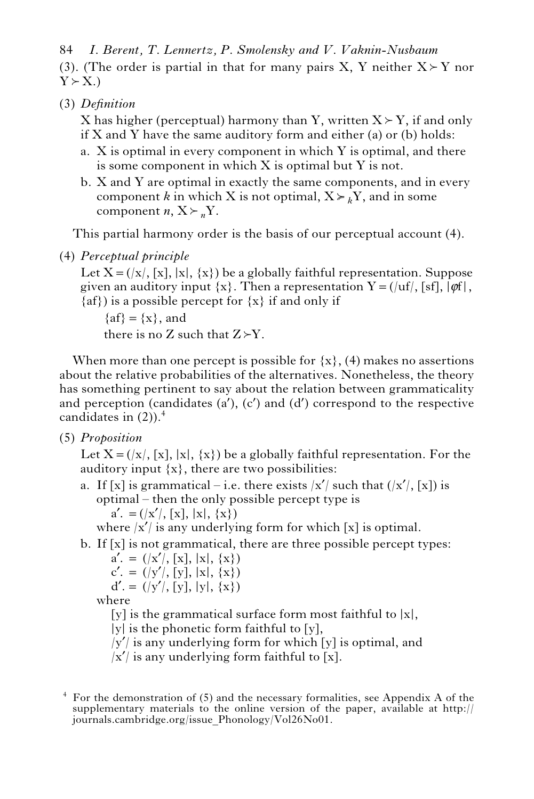(3). (The order is partial in that for many pairs X, Y neither  $X \rightharpoonup Y$  nor  $Y \succ X.$ 84 *I. Berent, T. Lennertz, P. Smolensky and V. Vaknin-Nusbaum*

*Definition* (3)

X has higher (perceptual) harmony than Y, written  $X \succ Y$ , if and only if  $X$  and  $Y$  have the same auditory form and either (a) or (b) holds:

- X is optimal in every component in which Y is optimal, and there a. is some component in which X is optimal but Y is not.
- X and Y are optimal in exactly the same components, and in every b. component *k* in which X is not optimal,  $X \geq K$ , and in some component *n*,  $X \succeq n$ <sup>N</sup>.

This partial harmony order is the basis of our perceptual account (4).

*Perceptual principle* (4)

Let  $X = (x/|x|, |x|, \{x\})$  be a globally faithful representation. Suppose given an auditory input  $\{x\}$ . Then a representation  $Y = (u f, [sf], |\phi f|,$  $\{af\}$ ) is a possible percept for  $\{x\}$  if and only if

 $\{af\}=\{x\}$ , and there is no Z such that  $Z > Y$ .

When more than one percept is possible for  $\{x\}$ , (4) makes no assertions about the relative probabilities of the alternatives. Nonetheless, the theory has something pertinent to say about the relation between grammaticality and perception (candidates  $(a')$ ,  $(c')$  and  $(d')$  correspond to the respective candidates in  $(2)$ ).<sup>4</sup>

*Proposition* (5)

Let  $X = (\vert x \vert, \vert x \vert, \vert x \vert)$  be a globally faithful representation. For the auditory input  $\{x\}$ , there are two possibilities:

a. If [x] is grammatical – i.e. there exists  $|x'|$  such that  $(|x'|, [x])$  is optimal – then the only possible percept type is  $a' = (x'/|x|, |x|, |x|, \{x\})$ 

where  $|x'|$  is any underlying form for which [x] is optimal.

b. If [x] is not grammatical, there are three possible percept types:

 $a' = (x'/|x|, |x|, |x|, \{x\})$  $c' = (y'/|y|, |x|, \{x\})$  $d' = (y'/|y|, |y|, \{x\})$ 

where

[y] is the grammatical surface form most faithful to  $|x|$ ,

 $|y|$  is the phonetic form faithful to  $[y]$ ,

 $|y'|$  is any underlying form for which [y] is optimal, and

 $|x'|$  is any underlying form faithful to [x].

 $<sup>4</sup>$  For the demonstration of (5) and the necessary formalities, see Appendix A of the</sup> supplementary materials to the online version of the paper, available at http:// journals.cambridge.org/issue\_Phonology/Vol26No01.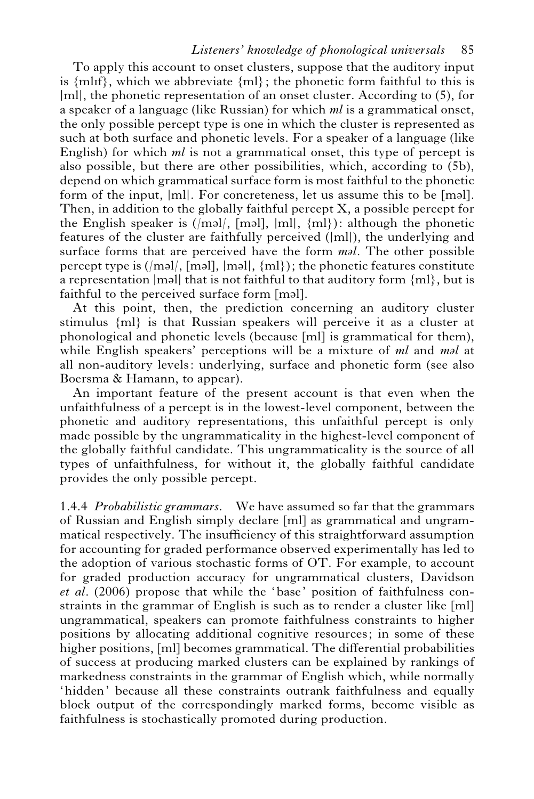#### *Listeners' knowledge of phonological universals* 85

To apply this account to onset clusters, suppose that the auditory input is  $\{mIf\}$ , which we abbreviate  $\{m\}$ ; the phonetic form faithful to this is |ml|, the phonetic representation of an onset cluster. According to (5), for a speaker of a language (like Russian) for which *ml* is a grammatical onset, the only possible percept type is one in which the cluster is represented as such at both surface and phonetic levels. For a speaker of a language (like English) for which *ml* is not a grammatical onset, this type of percept is also possible, but there are other possibilities, which, according to (5b), depend on which grammatical surface form is most faithful to the phonetic form of the input,  $|m|$ . For concreteness, let us assume this to be [mal]. Then, in addition to the globally faithful percept  $X$ , a possible percept for the English speaker is  $(|m=1|, |m=1|, |m|)$ : although the phonetic features of the cluster are faithfully perceived (|ml|), the underlying and surface forms that are perceived have the form *mal*. The other possible percept type is  $(|m=1|, |m=1|, |m=1|)$ ; the phonetic features constitute a representation  $|m$  all that is not faithful to that auditory form  ${m}$ , but is faithful to the perceived surface form [məl].

At this point, then, the prediction concerning an auditory cluster stimulus {ml} is that Russian speakers will perceive it as a cluster at phonological and phonetic levels (because [ml] is grammatical for them), while English speakers' perceptions will be a mixture of *ml* and *mal* at all non-auditory levels: underlying, surface and phonetic form (see also Boersma & Hamann, to appear).

An important feature of the present account is that even when the unfaithfulness of a percept is in the lowest-level component, between the phonetic and auditory representations, this unfaithful percept is only made possible by the ungrammaticality in the highest-level component of the globally faithful candidate. This ungrammaticality is the source of all types of unfaithfulness, for without it, the globally faithful candidate provides the only possible percept.

1.4.4 *Probabilistic grammars.* We have assumed so far that the grammars of Russian and English simply declare [ml] as grammatical and ungrammatical respectively. The insufficiency of this straightforward assumption for accounting for graded performance observed experimentally has led to the adoption of various stochastic forms of OT. For example, to account for graded production accuracy for ungrammatical clusters, Davidson *et al*. (2006) propose that while the 'base' position of faithfulness constraints in the grammar of English is such as to render a cluster like [ml] ungrammatical, speakers can promote faithfulness constraints to higher positions by allocating additional cognitive resources; in some of these higher positions, [ml] becomes grammatical. The differential probabilities of success at producing marked clusters can be explained by rankings of markedness constraints in the grammar of English which, while normally 'hidden' because all these constraints outrank faithfulness and equally block output of the correspondingly marked forms, become visible as faithfulness is stochastically promoted during production.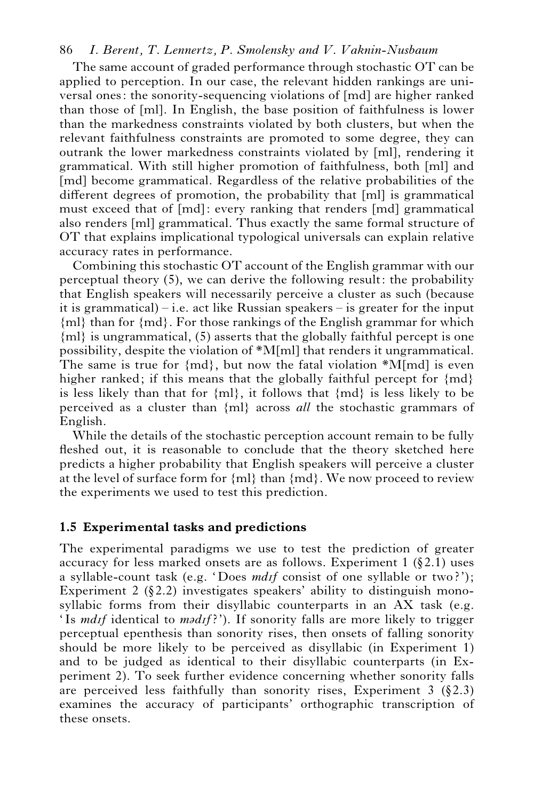The same account of graded performance through stochastic OT can be applied to perception. In our case, the relevant hidden rankings are universal ones: the sonority-sequencing violations of [md] are higher ranked than those of [ml]. In English, the base position of faithfulness is lower than the markedness constraints violated by both clusters, but when the relevant faithfulness constraints are promoted to some degree, they can outrank the lower markedness constraints violated by [ml], rendering it grammatical. With still higher promotion of faithfulness, both [ml] and [md] become grammatical. Regardless of the relative probabilities of the different degrees of promotion, the probability that [ml] is grammatical must exceed that of [md]: every ranking that renders [md] grammatical also renders [ml] grammatical. Thus exactly the same formal structure of OT that explains implicational typological universals can explain relative accuracy rates in performance.

Combining this stochastic OT account of the English grammar with our perceptual theory (5), we can derive the following result: the probability that English speakers will necessarily perceive a cluster as such (because it is grammatical) – i.e. act like Russian speakers – is greater for the input {ml} than for {md}. For those rankings of the English grammar for which {ml} is ungrammatical, (5) asserts that the globally faithful percept is one possibility, despite the violation of \*M[ml] that renders it ungrammatical. The same is true for  $\{md\}$ , but now the fatal violation  $^*M$ [md] is even higher ranked; if this means that the globally faithful percept for  ${md}$ is less likely than that for  ${m}$ , it follows that  ${m}$  is less likely to be perceived as a cluster than {ml} across *all* the stochastic grammars of English.

While the details of the stochastic perception account remain to be fully fleshed out, it is reasonable to conclude that the theory sketched here predicts a higher probability that English speakers will perceive a cluster at the level of surface form for  ${m}$  than  ${m}$ . We now proceed to review the experiments we used to test this prediction.

#### **1.5 Experimental tasks and predictions**

The experimental paradigms we use to test the prediction of greater accuracy for less marked onsets are as follows. Experiment  $1$  (§2.1) uses a syllable-count task (e.g. 'Does *md*I*f* consist of one syllable or two?'); Experiment 2  $(\S 2.2)$  investigates speakers' ability to distinguish monosyllabic forms from their disyllabic counterparts in an AX task (e.g. 'Is *mdif* identical to *madif*?'). If sonority falls are more likely to trigger perceptual epenthesis than sonority rises, then onsets of falling sonority should be more likely to be perceived as disyllabic (in Experiment 1) and to be judged as identical to their disyllabic counterparts (in Experiment 2). To seek further evidence concerning whether sonority falls are perceived less faithfully than sonority rises, Experiment  $3$  (§2.3) examines the accuracy of participants' orthographic transcription of these onsets.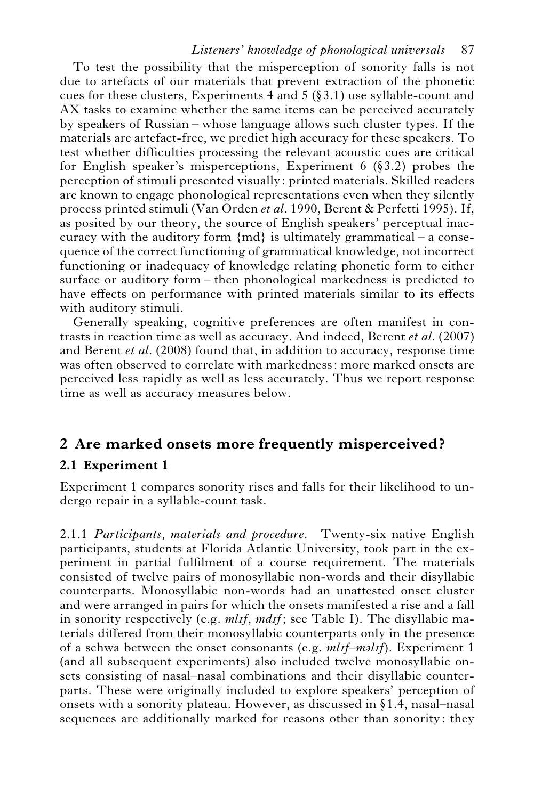#### *Listeners' knowledge of phonological universals* 87

To test the possibility that the misperception of sonority falls is not due to artefacts of our materials that prevent extraction of the phonetic cues for these clusters, Experiments  $4$  and  $5$  ( $\S$ 3.1) use syllable-count and AX tasks to examine whether the same items can be perceived accurately by speakers of Russian – whose language allows such cluster types. If the materials are artefact-free, we predict high accuracy for these speakers. To test whether difficulties processing the relevant acoustic cues are critical for English speaker's misperceptions, Experiment  $6$  (§3.2) probes the perception of stimuli presented visually: printed materials. Skilled readers are known to engage phonological representations even when they silently process printed stimuli (Van Orden *et al*. 1990, Berent & Perfetti 1995). If, as posited by our theory, the source of English speakers' perceptual inaccuracy with the auditory form  ${m}$  is ultimately grammatical – a consequence of the correct functioning of grammatical knowledge, not incorrect functioning or inadequacy of knowledge relating phonetic form to either surface or auditory form – then phonological markedness is predicted to have effects on performance with printed materials similar to its effects with auditory stimuli.

Generally speaking, cognitive preferences are often manifest in contrasts in reaction time as well as accuracy. And indeed, Berent *et al*. (2007) and Berent *et al*. (2008) found that, in addition to accuracy, response time was often observed to correlate with markedness: more marked onsets are perceived less rapidly as well as less accurately. Thus we report response time as well as accuracy measures below.

# **2 Are marked onsets more frequently misperceived ?**

# **2.1 Experiment 1**

Experiment 1 compares sonority rises and falls for their likelihood to undergo repair in a syllable-count task.

2.1.1 *Participants, materials and procedure.* Twenty-six native English participants, students at Florida Atlantic University, took part in the experiment in partial fulfilment of a course requirement. The materials consisted of twelve pairs of monosyllabic non-words and their disyllabic counterparts. Monosyllabic non-words had an unattested onset cluster and were arranged in pairs for which the onsets manifested a rise and a fall in sonority respectively (e.g. *mlif, mdif;* see Table I). The disyllabic materials differed from their monosyllabic counterparts only in the presence of a schwa between the onset consonants (e.g. *ml*I*f–m*@*l*I*f*). Experiment 1 (and all subsequent experiments) also included twelve monosyllabic onsets consisting of nasal–nasal combinations and their disyllabic counterparts. These were originally included to explore speakers' perception of onsets with a sonority plateau. However, as discussed in  $\S 1.4$ , nasal–nasal sequences are additionally marked for reasons other than sonority: they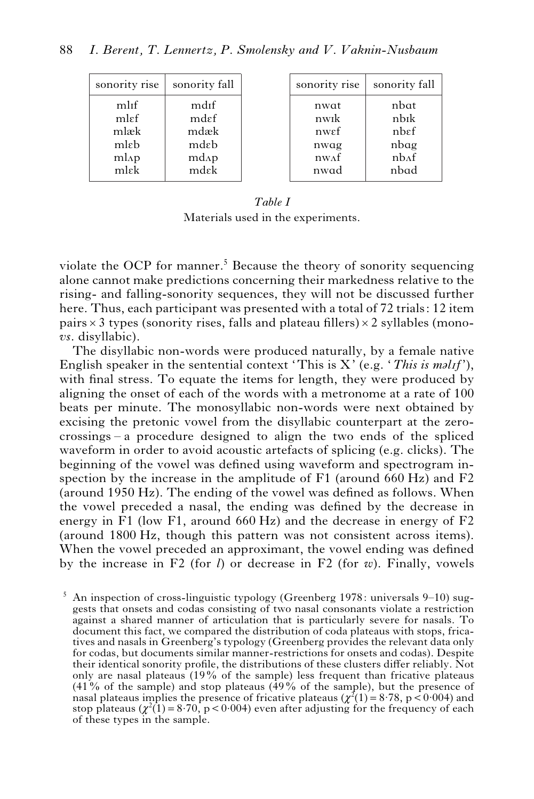| sonority rise       | sonority fall     |
|---------------------|-------------------|
| mlif                | mdif              |
| mlef                | mdef              |
| mlæk                | mdæk              |
| mlɛb                | mdeh              |
| $ml$ <sub>A</sub> p | md <sub>A</sub> p |
| mlek                | mdek              |

| sonority rise      | sonority fall     |
|--------------------|-------------------|
| nwat               | nbat              |
| nwik               | nbīk              |
| nwef               | nbef              |
| nwag               | nbag              |
| n w <sub>A</sub> f | nh <sub>A</sub> f |
| nwad               | nbad              |

# *Table I*

Materials used in the experiments.

violate the OCP for manner.<sup>5</sup> Because the theory of sonority sequencing alone cannot make predictions concerning their markedness relative to the rising- and falling-sonority sequences, they will not be discussed further here. Thus, each participant was presented with a total of 72 trials: 12 item pairs  $\times$  3 types (sonority rises, falls and plateau fillers)  $\times$  2 syllables (mono*vs*. disyllabic).

The disyllabic non-words were produced naturally, by a female native English speaker in the sentential context 'This is X' (e.g. '*This is malif*'), with final stress. To equate the items for length, they were produced by aligning the onset of each of the words with a metronome at a rate of 100 beats per minute. The monosyllabic non-words were next obtained by excising the pretonic vowel from the disyllabic counterpart at the zerocrossings – a procedure designed to align the two ends of the spliced waveform in order to avoid acoustic artefacts of splicing (e.g. clicks). The beginning of the vowel was defined using waveform and spectrogram inspection by the increase in the amplitude of F1 (around 660 Hz) and F2 (around 1950 Hz). The ending of the vowel was defined as follows. When the vowel preceded a nasal, the ending was defined by the decrease in energy in F1 (low F1, around 660 Hz) and the decrease in energy of F2 (around 1800 Hz, though this pattern was not consistent across items). When the vowel preceded an approximant, the vowel ending was defined by the increase in F2 (for *l*) or decrease in F2 (for *w*). Finally, vowels

5 An inspection of cross-linguistic typology (Greenberg 1978: universals 9–10) suggests that onsets and codas consisting of two nasal consonants violate a restriction against a shared manner of articulation that is particularly severe for nasals. To document this fact, we compared the distribution of coda plateaus with stops, fricatives and nasals in Greenberg's typology (Greenberg provides the relevant data only for codas, but documents similar manner-restrictions for onsets and codas). Despite their identical sonority profile, the distributions of these clusters differ reliably. Not only are nasal plateaus  $(19\%$  of the sample) less frequent than fricative plateaus  $(41\%$  of the sample) and stop plateaus  $(49\%$  of the sample), but the presence of nasal plateaus implies the presence of fricative plateaus ( $\chi^2(1)=8.78$ , p $\lt 0.004$ ) and stop plateaus  $(\chi^2(1)=8.70)$ , p < 0.004) even after adjusting for the frequency of each of these types in the sample.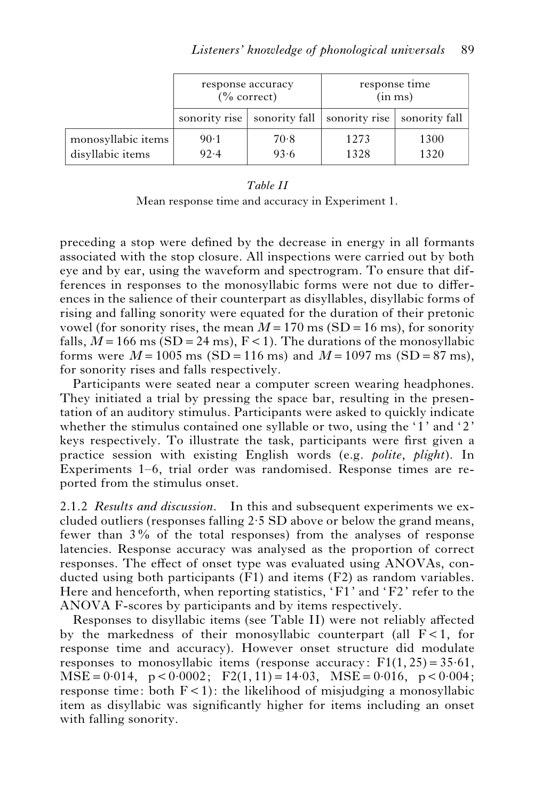|                    | response accuracy | $\frac{0}{6}$ correct) |                                               | response time<br>(in ms) |
|--------------------|-------------------|------------------------|-----------------------------------------------|--------------------------|
|                    | sonority rise     |                        | sonority fall   sonority rise   sonority fall |                          |
| monosyllabic items | $90-1$            | 70.8                   | 1273                                          | 1300                     |
| disyllabic items   | 92.4              | 93.6                   | 1328                                          | 1320                     |

#### *Table II*

Mean response time and accuracy in Experiment 1.

preceding a stop were defined by the decrease in energy in all formants associated with the stop closure. All inspections were carried out by both eye and by ear, using the waveform and spectrogram. To ensure that differences in responses to the monosyllabic forms were not due to differences in the salience of their counterpart as disyllables, disyllabic forms of rising and falling sonority were equated for the duration of their pretonic vowel (for sonority rises, the mean  $M = 170$  ms (SD = 16 ms), for sonority falls,  $M = 166$  ms (SD = 24 ms),  $F < 1$ ). The durations of the monosyllabic forms were  $M = 1005$  ms (SD = 116 ms) and  $M = 1097$  ms (SD = 87 ms), for sonority rises and falls respectively.

Participants were seated near a computer screen wearing headphones. They initiated a trial by pressing the space bar, resulting in the presentation of an auditory stimulus. Participants were asked to quickly indicate whether the stimulus contained one syllable or two, using the  $1'$  and  $2'$ keys respectively. To illustrate the task, participants were first given a practice session with existing English words (e.g. *polite*, *plight*). In Experiments 1–6, trial order was randomised. Response times are reported from the stimulus onset.

2.1.2 *Results and discussion.* In this and subsequent experiments we excluded outliers (responses falling 2.5 SD above or below the grand means, fewer than 3% of the total responses) from the analyses of response latencies. Response accuracy was analysed as the proportion of correct responses. The effect of onset type was evaluated using ANOVAs, conducted using both participants (F1) and items (F2) as random variables. Here and henceforth, when reporting statistics, 'F1' and 'F2' refer to the ANOVA F-scores by participants and by items respectively.

Responses to disyllabic items (see Table II) were not reliably affected by the markedness of their monosyllabic counterpart (all  $F < 1$ , for response time and accuracy). However onset structure did modulate responses to monosyllabic items (response accuracy:  $F1(1, 25) = 35.61$ ,  $MSE = 0.014$ ,  $p < 0.0002$ ;  $F2(1, 11) = 14.03$ ,  $MSE = 0.016$ ,  $p < 0.004$ ; response time: both  $F < 1$ ): the likelihood of misjudging a monosyllabic item as disyllabic was significantly higher for items including an onset with falling sonority.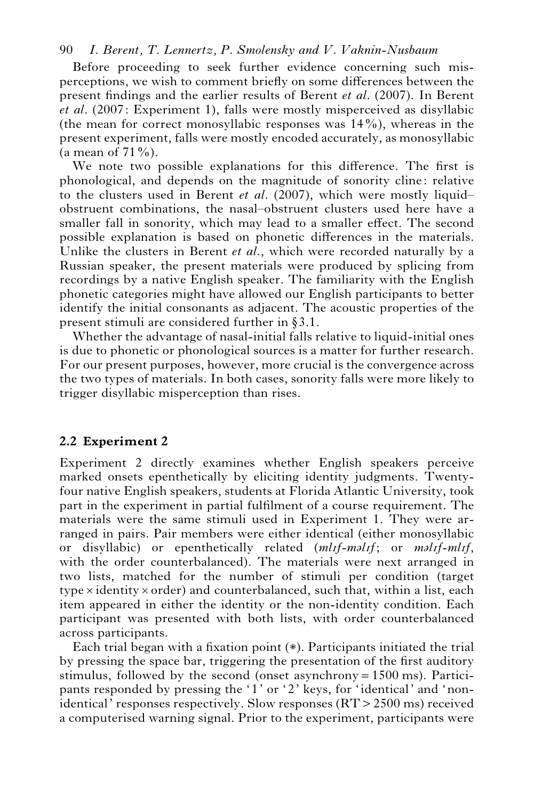Before proceeding to seek further evidence concerning such misperceptions, we wish to comment briefly on some differences between the present findings and the earlier results of Berent *et al*. (2007). In Berent *et al*. (2007: Experiment 1), falls were mostly misperceived as disyllabic (the mean for correct monosyllabic responses was  $14\%$ ), whereas in the present experiment, falls were mostly encoded accurately, as monosyllabic (a mean of  $71\%$ ).

We note two possible explanations for this difference. The first is phonological, and depends on the magnitude of sonority cline: relative to the clusters used in Berent *et al*. (2007), which were mostly liquid– obstruent combinations, the nasal–obstruent clusters used here have a smaller fall in sonority, which may lead to a smaller effect. The second possible explanation is based on phonetic differences in the materials. Unlike the clusters in Berent *et al*., which were recorded naturally by a Russian speaker, the present materials were produced by splicing from recordings by a native English speaker. The familiarity with the English phonetic categories might have allowed our English participants to better identify the initial consonants as adjacent. The acoustic properties of the present stimuli are considered further in  $\S 3.1$ .

Whether the advantage of nasal-initial falls relative to liquid-initial ones is due to phonetic or phonological sources is a matter for further research. For our present purposes, however, more crucial is the convergence across the two types of materials. In both cases, sonority falls were more likely to trigger disyllabic misperception than rises.

#### **2.2 Experiment 2**

Experiment 2 directly examines whether English speakers perceive marked onsets epenthetically by eliciting identity judgments. Twentyfour native English speakers, students at Florida Atlantic University, took part in the experiment in partial fulfilment of a course requirement. The materials were the same stimuli used in Experiment 1. They were arranged in pairs. Pair members were either identical (either monosyllabic or disyllabic) or epenthetically related (*ml*I*f*-*malIf*; or *malIf-mlIf*, with the order counterbalanced). The materials were next arranged in two lists, matched for the number of stimuli per condition (target  $type \times identity \times order$ ) and counterbalanced, such that, within a list, each item appeared in either the identity or the non-identity condition. Each participant was presented with both lists, with order counterbalanced across participants.

Each trial began with a fixation point (\*). Participants initiated the trial by pressing the space bar, triggering the presentation of the first auditory stimulus, followed by the second (onset asynchrony=1500 ms). Participants responded by pressing the '1' or '2' keys, for 'identical' and 'nonidentical' responses respectively. Slow responses (RT>2500 ms) received a computerised warning signal. Prior to the experiment, participants were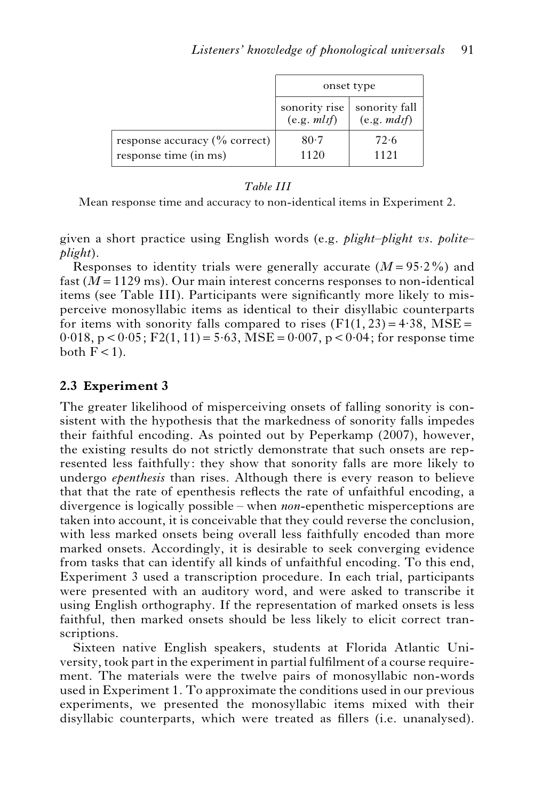|                                                                       | onset type                    |                             |  |
|-----------------------------------------------------------------------|-------------------------------|-----------------------------|--|
|                                                                       | sonority rise<br>(e.g. m lif) | sonority fall<br>(e.g. mdf) |  |
| response accuracy $\left(\%\right)$ correct)<br>response time (in ms) | $80-7$<br>1120                | 72.6<br>1121                |  |

#### *Table III*

Mean response time and accuracy to non-identical items in Experiment 2.

given a short practice using English words (e.g. *plight*–*plight vs. polite*– *plight*).

Responses to identity trials were generally accurate (*M*=95.2%) and fast (*M*=1129 ms). Our main interest concerns responses to non-identical items (see Table III). Participants were significantly more likely to misperceive monosyllabic items as identical to their disyllabic counterparts for items with sonority falls compared to rises  $(F1(1, 23) = 4.38$ , MSE =  $0.018$ , p <  $0.05$ ; F2(1, 11) = 5.63, MSE = 0.007, p < 0.04; for response time both  $F < 1$ ).

# **2.3 Experiment 3**

The greater likelihood of misperceiving onsets of falling sonority is consistent with the hypothesis that the markedness of sonority falls impedes their faithful encoding. As pointed out by Peperkamp (2007), however, the existing results do not strictly demonstrate that such onsets are represented less faithfully: they show that sonority falls are more likely to undergo *epenthesis* than rises. Although there is every reason to believe that that the rate of epenthesis reflects the rate of unfaithful encoding, a divergence is logically possible – when *non*-epenthetic misperceptions are taken into account, it is conceivable that they could reverse the conclusion, with less marked onsets being overall less faithfully encoded than more marked onsets. Accordingly, it is desirable to seek converging evidence from tasks that can identify all kinds of unfaithful encoding. To this end, Experiment 3 used a transcription procedure. In each trial, participants were presented with an auditory word, and were asked to transcribe it using English orthography. If the representation of marked onsets is less faithful, then marked onsets should be less likely to elicit correct transcriptions.

Sixteen native English speakers, students at Florida Atlantic University, took part in the experiment in partial fulfilment of a course requirement. The materials were the twelve pairs of monosyllabic non-words used in Experiment 1. To approximate the conditions used in our previous experiments, we presented the monosyllabic items mixed with their disyllabic counterparts, which were treated as fillers (i.e. unanalysed).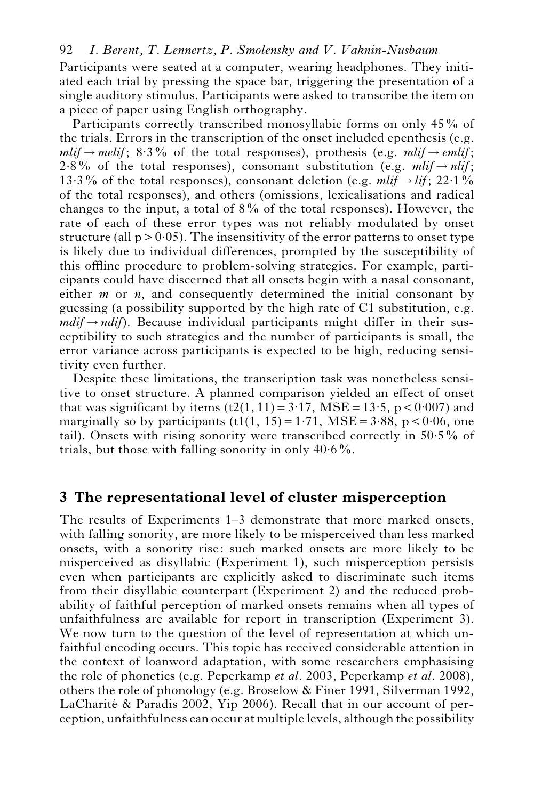Participants were seated at a computer, wearing headphones. They initiated each trial by pressing the space bar, triggering the presentation of a single auditory stimulus. Participants were asked to transcribe the item on a piece of paper using English orthography.

Participants correctly transcribed monosyllabic forms on only 45% of the trials. Errors in the transcription of the onset included epenthesis (e.g.  $mli\dot{f} \rightarrow melif$ ; 8.3% of the total responses), prothesis (e.g. *mlif*) $\rightarrow$  *emlif*; 2.8% of the total responses), consonant substitution (e.g.  $mli\tau \rightarrow nli\tau$ ; 13.3% of the total responses), consonant deletion (e.g. *mlif*  $\rightarrow$  *lif*; 22.1% of the total responses), and others (omissions, lexicalisations and radical changes to the input, a total of 8% of the total responses). However, the rate of each of these error types was not reliably modulated by onset structure (all  $p > 0.05$ ). The insensitivity of the error patterns to onset type is likely due to individual differences, prompted by the susceptibility of this offline procedure to problem-solving strategies. For example, participants could have discerned that all onsets begin with a nasal consonant, either *m* or *n*, and consequently determined the initial consonant by guessing (a possibility supported by the high rate of C1 substitution, e.g.  $mdi\rightarrow ndif$ ). Because individual participants might differ in their susceptibility to such strategies and the number of participants is small, the error variance across participants is expected to be high, reducing sensitivity even further.

Despite these limitations, the transcription task was nonetheless sensitive to onset structure. A planned comparison yielded an effect of onset that was significant by items  $(t2(1, 11)=3.17$ , MSE = 13.5, p < 0.007) and marginally so by participants  $(t1(1, 15) = 1.71$ , MSE = 3.88, p < 0.06, one tail). Onsets with rising sonority were transcribed correctly in 50.5% of trials, but those with falling sonority in only  $40.6\%$ .

# **3 The representational level of cluster misperception**

The results of Experiments 1–3 demonstrate that more marked onsets, with falling sonority, are more likely to be misperceived than less marked onsets, with a sonority rise: such marked onsets are more likely to be misperceived as disyllabic (Experiment 1), such misperception persists even when participants are explicitly asked to discriminate such items from their disyllabic counterpart (Experiment 2) and the reduced probability of faithful perception of marked onsets remains when all types of unfaithfulness are available for report in transcription (Experiment 3). We now turn to the question of the level of representation at which unfaithful encoding occurs. This topic has received considerable attention in the context of loanword adaptation, with some researchers emphasising the role of phonetics (e.g. Peperkamp *et al*. 2003, Peperkamp *et al*. 2008), others the role of phonology (e.g. Broselow & Finer 1991, Silverman 1992, LaCharité  $\&$  Paradis 2002, Yip 2006). Recall that in our account of perception, unfaithfulness can occur at multiple levels, although the possibility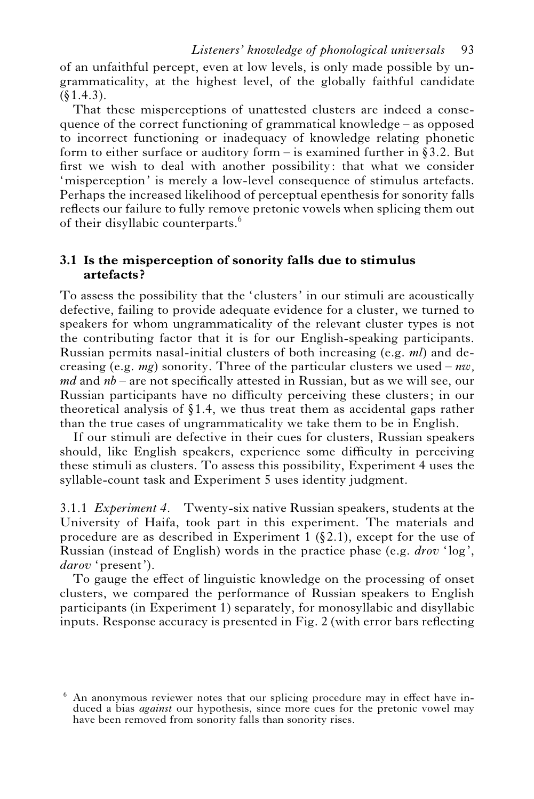of an unfaithful percept, even at low levels, is only made possible by ungrammaticality, at the highest level, of the globally faithful candidate  $(§1.4.3).$ 

That these misperceptions of unattested clusters are indeed a consequence of the correct functioning of grammatical knowledge – as opposed to incorrect functioning or inadequacy of knowledge relating phonetic form to either surface or auditory form – is examined further in §3.2. But first we wish to deal with another possibility: that what we consider 'misperception' is merely a low-level consequence of stimulus artefacts. Perhaps the increased likelihood of perceptual epenthesis for sonority falls reflects our failure to fully remove pretonic vowels when splicing them out of their disyllabic counterparts.<sup>6</sup>

# **3.1 Is the misperception of sonority falls due to stimulus artefacts ?**

To assess the possibility that the 'clusters' in our stimuli are acoustically defective, failing to provide adequate evidence for a cluster, we turned to speakers for whom ungrammaticality of the relevant cluster types is not the contributing factor that it is for our English-speaking participants. Russian permits nasal-initial clusters of both increasing (e.g. *ml*) and decreasing (e.g. *mg*) sonority. Three of the particular clusters we used – *nw, md* and *nb* – are not specifically attested in Russian, but as we will see, our Russian participants have no difficulty perceiving these clusters; in our theoretical analysis of  $\S 1.4$ , we thus treat them as accidental gaps rather than the true cases of ungrammaticality we take them to be in English.

If our stimuli are defective in their cues for clusters, Russian speakers should, like English speakers, experience some difficulty in perceiving these stimuli as clusters. To assess this possibility, Experiment 4 uses the syllable-count task and Experiment 5 uses identity judgment.

3.1.1 *Experiment 4.* Twenty-six native Russian speakers, students at the University of Haifa, took part in this experiment. The materials and procedure are as described in Experiment 1  $(82.1)$ , except for the use of Russian (instead of English) words in the practice phase (e.g. *drov* 'log', *darov* 'present').

To gauge the effect of linguistic knowledge on the processing of onset clusters, we compared the performance of Russian speakers to English participants (in Experiment 1) separately, for monosyllabic and disyllabic inputs. Response accuracy is presented in Fig. 2 (with error bars reflecting

 $6\sigma$  An anonymous reviewer notes that our splicing procedure may in effect have induced a bias *against* our hypothesis, since more cues for the pretonic vowel may have been removed from sonority falls than sonority rises.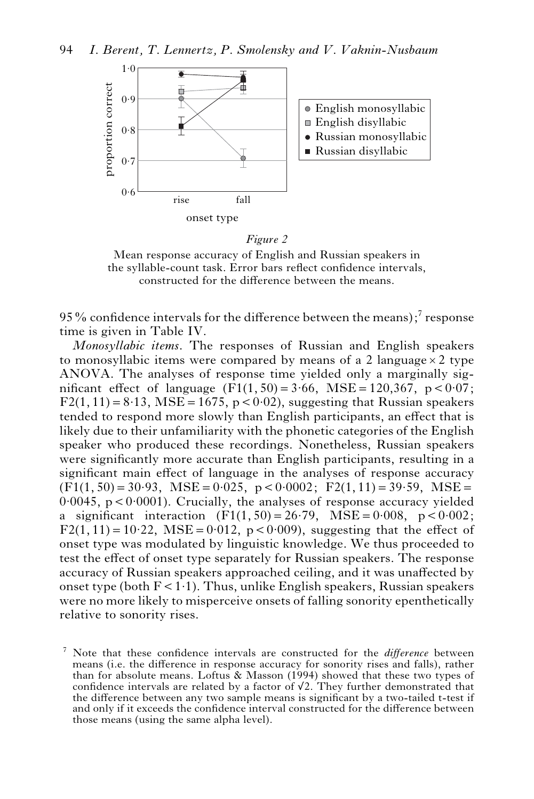

*Figure 2*

Mean response accuracy of English and Russian speakers in the syllable-count task. Error bars reflect confidence intervals, constructed for the difference between the means.

95% confidence intervals for the difference between the means); $^7$  response time is given in Table IV.

*Monosyllabic items*. The responses of Russian and English speakers to monosyllabic items were compared by means of a 2 language  $\times$  2 type ANOVA. The analyses of response time yielded only a marginally significant effect of language  $(F1(1, 50) = 3.66, \text{MSE} = 120,367, \text{p} < 0.07;$  $F2(1, 11) = 8.13$ , MSE = 1675, p < 0.02), suggesting that Russian speakers tended to respond more slowly than English participants, an effect that is likely due to their unfamiliarity with the phonetic categories of the English speaker who produced these recordings. Nonetheless, Russian speakers were significantly more accurate than English participants, resulting in a significant main effect of language in the analyses of response accuracy  $(F1(1, 50) = 30.93$ , MSE = 0.025, p < 0.0002; F2(1, 11) = 39.59, MSE =  $0.0045$ ,  $p < 0.0001$ ). Crucially, the analyses of response accuracy yielded a significant interaction  $(F1(1, 50) = 26.79$ ,  $MSE = 0.008$ ,  $p < 0.002$ ;  $F2(1, 11) = 10.22$ ,  $MSE = 0.012$ ,  $p < 0.009$ ), suggesting that the effect of onset type was modulated by linguistic knowledge. We thus proceeded to test the effect of onset type separately for Russian speakers. The response accuracy of Russian speakers approached ceiling, and it was unaffected by onset type (both  $F < 1.1$ ). Thus, unlike English speakers, Russian speakers were no more likely to misperceive onsets of falling sonority epenthetically relative to sonority rises.

<sup>7</sup> Note that these confidence intervals are constructed for the *difference* between means (i.e. the difference in response accuracy for sonority rises and falls), rather than for absolute means. Loftus & Masson (1994) showed that these two types of confidence intervals are related by a factor of  $\sqrt{2}$ . They further demonstrated that the difference between any two sample means is significant by a two-tailed t-test if and only if it exceeds the confidence interval constructed for the difference between those means (using the same alpha level).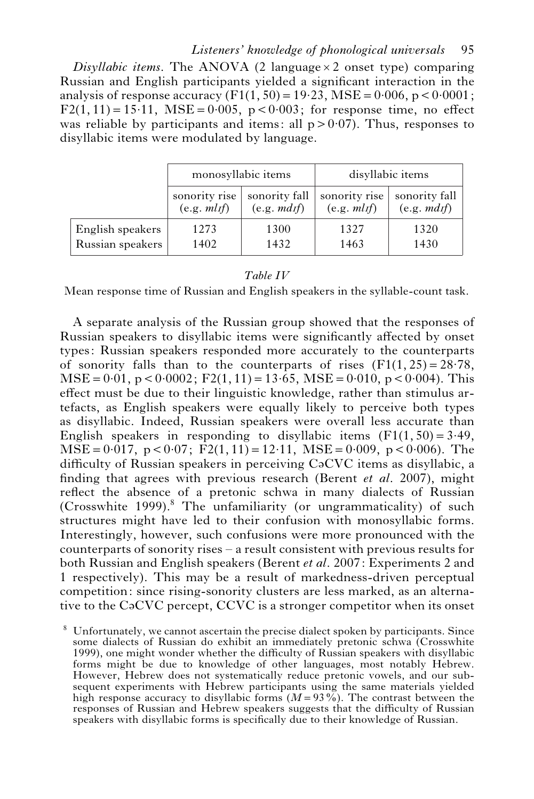*Disyllabic items*. The ANOVA (2 language  $\times$  2 onset type) comparing Russian and English participants yielded a significant interaction in the analysis of response accuracy  $(F1(1, 50) = 19.23, \text{MSE} = 0.006, \text{p} < 0.0001;$  $F2(1, 11) = 15.11$ ,  $MSE = 0.005$ ,  $p < 0.003$ ; for response time, no effect was reliable by participants and items: all  $p > 0.07$ ). Thus, responses to disyllabic items were modulated by language.

|                  | monosyllabic items |               | disyllabic items |               |  |
|------------------|--------------------|---------------|------------------|---------------|--|
|                  | sonority rise      | sonority fall | sonority rise    | sonority fall |  |
|                  | (e.g. m l f)       | (e.g. mdf)    | (e.g. m l f)     | (e.g. mdf)    |  |
| English speakers | 1273               | 1300          | 1327             | 1320          |  |
| Russian speakers | 1402               | 1432          | 1463             | 1430          |  |

#### *Table IV*

Mean response time of Russian and English speakers in the syllable-count task.

A separate analysis of the Russian group showed that the responses of Russian speakers to disyllabic items were significantly affected by onset types: Russian speakers responded more accurately to the counterparts of sonority falls than to the counterparts of rises  $(F1(1, 25) = 28.78$ ,  $MSE = 0.01$ ,  $p < 0.0002$ ;  $F2(1, 11) = 13.65$ ,  $MSE = 0.010$ ,  $p < 0.004$ ). This effect must be due to their linguistic knowledge, rather than stimulus artefacts, as English speakers were equally likely to perceive both types as disyllabic. Indeed, Russian speakers were overall less accurate than English speakers in responding to disyllabic items  $(F1(1, 50) = 3.49$ ,  $MSE = 0.017$ ,  $p < 0.07$ ;  $F2(1, 11) = 12.11$ ,  $MSE = 0.009$ ,  $p < 0.006$ ). The difficulty of Russian speakers in perceiving CaCVC items as disyllabic, a finding that agrees with previous research (Berent *et al*. 2007), might reflect the absence of a pretonic schwa in many dialects of Russian  $(Crosswhite 1999).$ <sup>8</sup> The unfamiliarity (or ungrammaticality) of such structures might have led to their confusion with monosyllabic forms. Interestingly, however, such confusions were more pronounced with the counterparts of sonority rises – a result consistent with previous results for both Russian and English speakers (Berent *et al*. 2007: Experiments 2 and 1 respectively). This may be a result of markedness-driven perceptual competition: since rising-sonority clusters are less marked, as an alternative to the CaCVC percept, CCVC is a stronger competitor when its onset

<sup>8</sup> Unfortunately, we cannot ascertain the precise dialect spoken by participants. Since some dialects of Russian do exhibit an immediately pretonic schwa (Crosswhite 1999), one might wonder whether the difficulty of Russian speakers with disyllabic forms might be due to knowledge of other languages, most notably Hebrew. However, Hebrew does not systematically reduce pretonic vowels, and our subsequent experiments with Hebrew participants using the same materials yielded high response accuracy to disyllabic forms  $(M=93\%)$ . The contrast between the responses of Russian and Hebrew speakers suggests that the difficulty of Russian speakers with disyllabic forms is specifically due to their knowledge of Russian.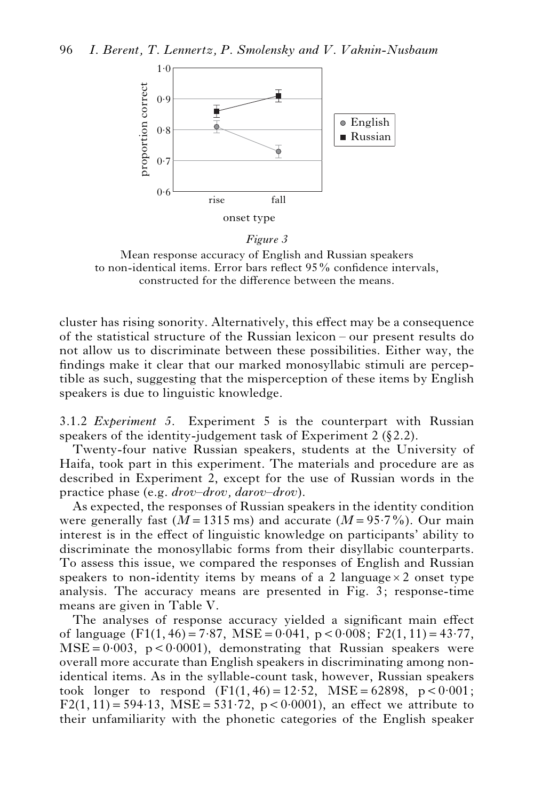

*Figure 3*

Mean response accuracy of English and Russian speakers to non-identical items. Error bars reflect 95% confidence intervals, constructed for the difference between the means.

cluster has rising sonority. Alternatively, this effect may be a consequence of the statistical structure of the Russian lexicon – our present results do not allow us to discriminate between these possibilities. Either way, the findings make it clear that our marked monosyllabic stimuli are perceptible as such, suggesting that the misperception of these items by English speakers is due to linguistic knowledge.

3.1.2 *Experiment 5.* Experiment 5 is the counterpart with Russian speakers of the identity-judgement task of Experiment  $2 (\S 2.2)$ .

Twenty-four native Russian speakers, students at the University of Haifa, took part in this experiment. The materials and procedure are as described in Experiment 2, except for the use of Russian words in the practice phase (e.g. *drov–drov, darov–drov*).

As expected, the responses of Russian speakers in the identity condition were generally fast  $(M=1315 \text{ ms})$  and accurate  $(M=95.7\%)$ . Our main interest is in the effect of linguistic knowledge on participants' ability to discriminate the monosyllabic forms from their disyllabic counterparts. To assess this issue, we compared the responses of English and Russian speakers to non-identity items by means of a 2 language  $\times$  2 onset type analysis. The accuracy means are presented in Fig. 3; response-time means are given in Table V.

The analyses of response accuracy yielded a significant main effect of language (F1(1, 46) = 7.87, MSE = 0.041, p < 0.008; F2(1, 11) = 43.77,  $MSE = 0.003$ ,  $p < 0.0001$ ), demonstrating that Russian speakers were overall more accurate than English speakers in discriminating among nonidentical items. As in the syllable-count task, however, Russian speakers took longer to respond  $(F1(1, 46) = 12.52, \text{MSE} = 62898, \text{p} < 0.001;$ F2(1, 11) = 594.13, MSE = 531.72, p < 0.0001), an effect we attribute to their unfamiliarity with the phonetic categories of the English speaker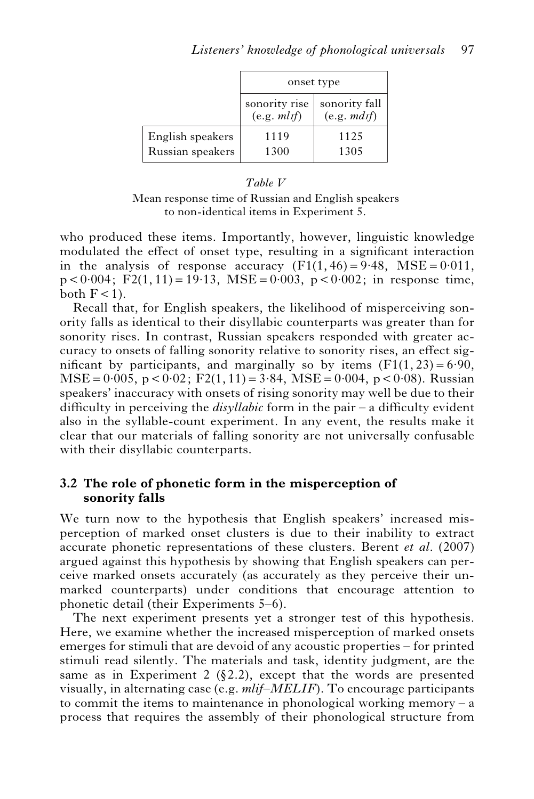|                                      |                               | onset type                  |
|--------------------------------------|-------------------------------|-----------------------------|
|                                      | sonority rise<br>(e.g. m lif) | sonority fall<br>(e.g. mdf) |
| English speakers<br>Russian speakers | 1119<br>1300                  | 1125<br>1305                |

#### *Table V*

Mean response time of Russian and English speakers to non-identical items in Experiment 5.

who produced these items. Importantly, however, linguistic knowledge modulated the effect of onset type, resulting in a significant interaction in the analysis of response accuracy  $(F1(1, 46) = 9.48, MSE = 0.011,$  $p < 0.004$ ; F2(1, 11) = 19.13, MSE = 0.003, p < 0.002; in response time, both  $F < 1$ ).

Recall that, for English speakers, the likelihood of misperceiving sonority falls as identical to their disyllabic counterparts was greater than for sonority rises. In contrast, Russian speakers responded with greater accuracy to onsets of falling sonority relative to sonority rises, an effect significant by participants, and marginally so by items  $(F1(1, 23) = 6.90$ ,  $MSE = 0.005$ ,  $p < 0.02$ ;  $F2(1, 11) = 3.84$ ,  $MSE = 0.004$ ,  $p < 0.08$ ). Russian speakers' inaccuracy with onsets of rising sonority may well be due to their difficulty in perceiving the *disyllabic* form in the pair – a difficulty evident also in the syllable-count experiment. In any event, the results make it clear that our materials of falling sonority are not universally confusable with their disyllabic counterparts.

#### **3.2 The role of phonetic form in the misperception of sonority falls**

We turn now to the hypothesis that English speakers' increased misperception of marked onset clusters is due to their inability to extract accurate phonetic representations of these clusters. Berent *et al*. (2007) argued against this hypothesis by showing that English speakers can perceive marked onsets accurately (as accurately as they perceive their unmarked counterparts) under conditions that encourage attention to phonetic detail (their Experiments 5–6).

The next experiment presents yet a stronger test of this hypothesis. Here, we examine whether the increased misperception of marked onsets emerges for stimuli that are devoid of any acoustic properties – for printed stimuli read silently. The materials and task, identity judgment, are the same as in Experiment 2 (§2.2), except that the words are presented visually, in alternating case (e.g. *mlif–MELIF*). To encourage participants to commit the items to maintenance in phonological working memory – a process that requires the assembly of their phonological structure from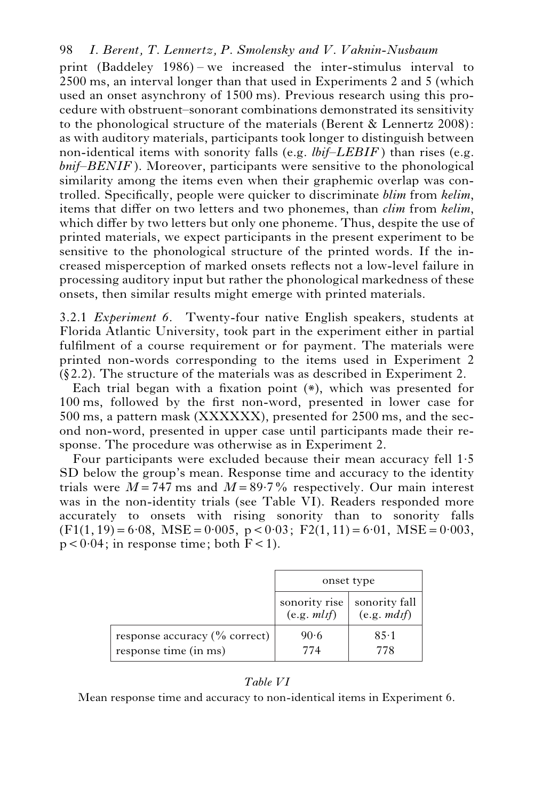print (Baddeley 1986) – we increased the inter-stimulus interval to 2500 ms, an interval longer than that used in Experiments 2 and 5 (which used an onset asynchrony of 1500 ms). Previous research using this procedure with obstruent–sonorant combinations demonstrated its sensitivity to the phonological structure of the materials (Berent & Lennertz 2008): as with auditory materials, participants took longer to distinguish between non-identical items with sonority falls (e.g. *lbif–LEBIF* ) than rises (e.g. *bnif–BENIF* ). Moreover, participants were sensitive to the phonological similarity among the items even when their graphemic overlap was controlled. Specifically, people were quicker to discriminate *blim* from *kelim*, items that differ on two letters and two phonemes, than *clim* from *kelim*, which differ by two letters but only one phoneme. Thus, despite the use of printed materials, we expect participants in the present experiment to be sensitive to the phonological structure of the printed words. If the increased misperception of marked onsets reflects not a low-level failure in processing auditory input but rather the phonological markedness of these onsets, then similar results might emerge with printed materials.

3.2.1 *Experiment 6.* Twenty-four native English speakers, students at Florida Atlantic University, took part in the experiment either in partial fulfilment of a course requirement or for payment. The materials were printed non-words corresponding to the items used in Experiment 2  $(\xi$ 2.2). The structure of the materials was as described in Experiment 2.

Each trial began with a fixation point (\*), which was presented for 100 ms, followed by the first non-word, presented in lower case for 500 ms, a pattern mask (XXXXXX), presented for 2500 ms, and the second non-word, presented in upper case until participants made their response. The procedure was otherwise as in Experiment 2.

Four participants were excluded because their mean accuracy fell 1.5 SD below the group's mean. Response time and accuracy to the identity trials were  $M = 747$  ms and  $M = 89.7\%$  respectively. Our main interest was in the non-identity trials (see Table VI). Readers responded more accurately to onsets with rising sonority than to sonority falls  $(F1(1, 19) = 6.08, \text{MSE} = 0.005, \text{p} < 0.03; \text{F2}(1, 11) = 6.01, \text{MSE} = 0.003,$  $p < 0.04$ ; in response time; both  $F < 1$ ).

|                                                                       | onset type                    |                             |  |
|-----------------------------------------------------------------------|-------------------------------|-----------------------------|--|
|                                                                       | sonority rise<br>(e.g. m l f) | sonority fall<br>(e.g. mdf) |  |
| response accuracy $\left(\%\right)$ correct)<br>response time (in ms) | 90.6<br>774                   | 85.1<br>778                 |  |

#### *Table VI*

Mean response time and accuracy to non-identical items in Experiment 6.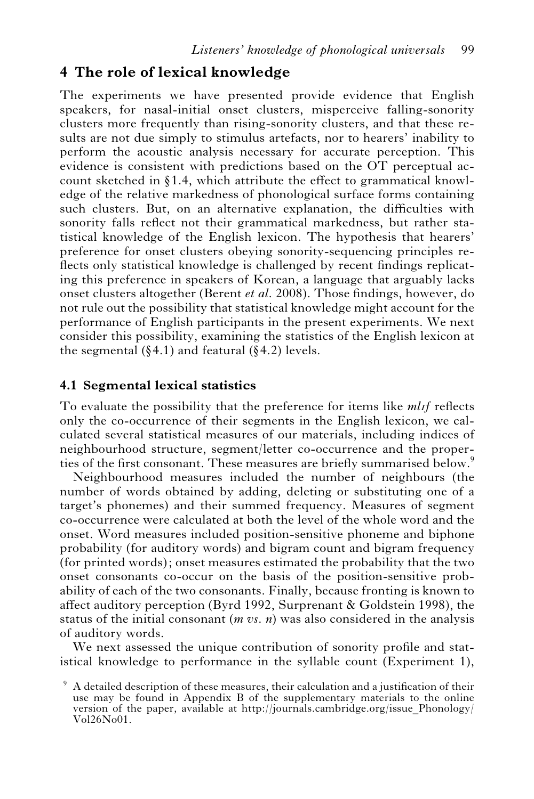# **4 The role of lexical knowledge**

The experiments we have presented provide evidence that English speakers, for nasal-initial onset clusters, misperceive falling-sonority clusters more frequently than rising-sonority clusters, and that these results are not due simply to stimulus artefacts, nor to hearers' inability to perform the acoustic analysis necessary for accurate perception. This evidence is consistent with predictions based on the OT perceptual account sketched in  $\S1.4$ , which attribute the effect to grammatical knowledge of the relative markedness of phonological surface forms containing such clusters. But, on an alternative explanation, the difficulties with sonority falls reflect not their grammatical markedness, but rather statistical knowledge of the English lexicon. The hypothesis that hearers' preference for onset clusters obeying sonority-sequencing principles reflects only statistical knowledge is challenged by recent findings replicating this preference in speakers of Korean, a language that arguably lacks onset clusters altogether (Berent *et al*. 2008). Those findings, however, do not rule out the possibility that statistical knowledge might account for the performance of English participants in the present experiments. We next consider this possibility, examining the statistics of the English lexicon at the segmental  $(84.1)$  and featural  $(84.2)$  levels.

# **4.1 Segmental lexical statistics**

To evaluate the possibility that the preference for items like *ml*I*f* reflects only the co-occurrence of their segments in the English lexicon, we calculated several statistical measures of our materials, including indices of neighbourhood structure, segment/letter co-occurrence and the properties of the first consonant. These measures are briefly summarised below.<sup>9</sup>

Neighbourhood measures included the number of neighbours (the number of words obtained by adding, deleting or substituting one of a target's phonemes) and their summed frequency. Measures of segment co-occurrence were calculated at both the level of the whole word and the onset. Word measures included position-sensitive phoneme and biphone probability (for auditory words) and bigram count and bigram frequency (for printed words); onset measures estimated the probability that the two onset consonants co-occur on the basis of the position-sensitive probability of each of the two consonants. Finally, because fronting is known to affect auditory perception (Byrd 1992, Surprenant & Goldstein 1998), the status of the initial consonant (*m vs. n*) was also considered in the analysis of auditory words.

We next assessed the unique contribution of sonority profile and statistical knowledge to performance in the syllable count (Experiment 1),

 $9\text{ A detailed description of these measures, their calculation and a justification of their$ use may be found in Appendix B of the supplementary materials to the online version of the paper, available at http://journals.cambridge.org/issue\_Phonology/ Vol26No01.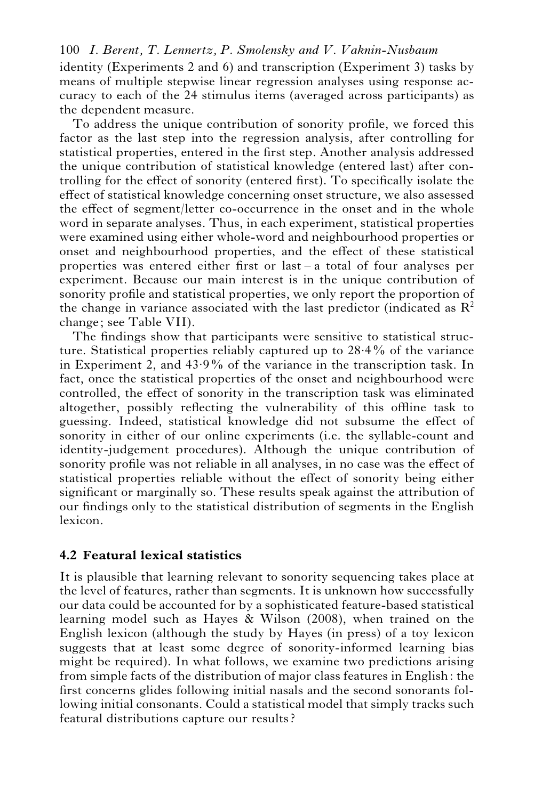identity (Experiments 2 and 6) and transcription (Experiment 3) tasks by means of multiple stepwise linear regression analyses using response accuracy to each of the 24 stimulus items (averaged across participants) as the dependent measure.

To address the unique contribution of sonority profile, we forced this factor as the last step into the regression analysis, after controlling for statistical properties, entered in the first step. Another analysis addressed the unique contribution of statistical knowledge (entered last) after controlling for the effect of sonority (entered first). To specifically isolate the effect of statistical knowledge concerning onset structure, we also assessed the effect of segment/letter co-occurrence in the onset and in the whole word in separate analyses. Thus, in each experiment, statistical properties were examined using either whole-word and neighbourhood properties or onset and neighbourhood properties, and the effect of these statistical properties was entered either first or last – a total of four analyses per experiment. Because our main interest is in the unique contribution of sonority profile and statistical properties, we only report the proportion of the change in variance associated with the last predictor (indicated as  $\mathbb{R}^2$ ) change; see Table VII).

The findings show that participants were sensitive to statistical structure. Statistical properties reliably captured up to 28.4% of the variance in Experiment 2, and 43.9% of the variance in the transcription task. In fact, once the statistical properties of the onset and neighbourhood were controlled, the effect of sonority in the transcription task was eliminated altogether, possibly reflecting the vulnerability of this offline task to guessing. Indeed, statistical knowledge did not subsume the effect of sonority in either of our online experiments (i.e. the syllable-count and identity-judgement procedures). Although the unique contribution of sonority profile was not reliable in all analyses, in no case was the effect of statistical properties reliable without the effect of sonority being either significant or marginally so. These results speak against the attribution of our findings only to the statistical distribution of segments in the English lexicon.

#### **4.2 Featural lexical statistics**

It is plausible that learning relevant to sonority sequencing takes place at the level of features, rather than segments. It is unknown how successfully our data could be accounted for by a sophisticated feature-based statistical learning model such as Hayes & Wilson (2008), when trained on the English lexicon (although the study by Hayes (in press) of a toy lexicon suggests that at least some degree of sonority-informed learning bias might be required). In what follows, we examine two predictions arising from simple facts of the distribution of major class features in English: the first concerns glides following initial nasals and the second sonorants following initial consonants. Could a statistical model that simply tracks such featural distributions capture our results?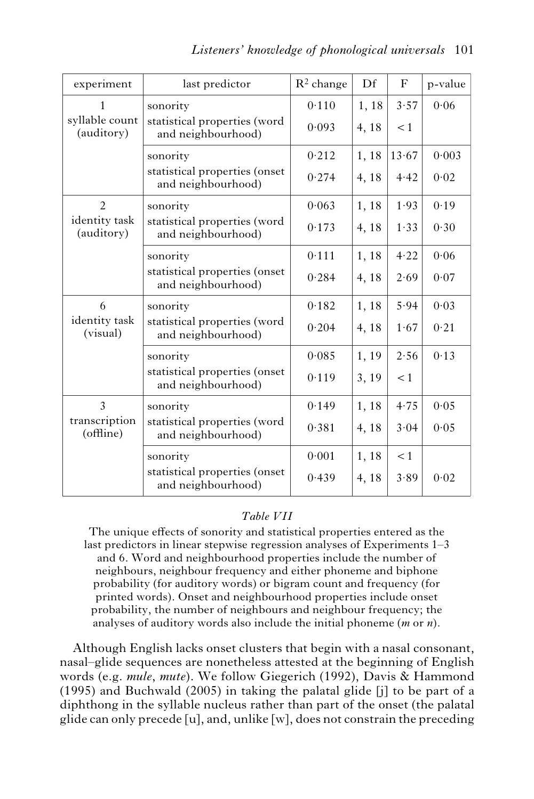| experiment                   | last predictor                                      | $R^2$ change | Df    | F     | p-value |
|------------------------------|-----------------------------------------------------|--------------|-------|-------|---------|
| 1                            | sonority                                            | 0.110        | 1,18  | 3.57  | 0.06    |
| syllable count<br>(auditory) | statistical properties (word<br>and neighbourhood)  | 0.093        | 4, 18 | < 1   |         |
|                              | sonority                                            | 0.212        | 1,18  | 13.67 | 0.003   |
|                              | statistical properties (onset<br>and neighbourhood) | 0.274        | 4,18  | 4.42  | 0.02    |
| $\overline{2}$               | sonority                                            | 0.063        | 1,18  | 1.93  | 0.19    |
| identity task<br>(auditory)  | statistical properties (word<br>and neighbourhood)  | 0.173        | 4, 18 | 1.33  | 0.30    |
|                              | sonority                                            | 0.111        | 1,18  | 4.22  | 0.06    |
|                              | statistical properties (onset<br>and neighbourhood) | 0.284        | 4,18  | 2.69  | 0.07    |
| 6                            | sonority                                            | 0.182        | 1,18  | 5.94  | 0.03    |
| identity task<br>(visual)    | statistical properties (word<br>and neighbourhood)  | 0.204        | 4,18  | 1.67  | 0.21    |
|                              | sonority                                            | 0.085        | 1,19  | 2.56  | 0.13    |
|                              | statistical properties (onset<br>and neighbourhood) | 0.119        | 3, 19 | < 1   |         |
| 3                            | sonority                                            | 0.149        | 1,18  | 4.75  | 0.05    |
| transcription<br>(offline)   | statistical properties (word<br>and neighbourhood)  | 0.381        | 4,18  | 3.04  | 0.05    |
|                              | sonority                                            | 0.001        | 1, 18 | < 1   |         |
|                              | statistical properties (onset<br>and neighbourhood) | 0.439        | 4,18  | 3.89  | 0.02    |

#### *Table VII*

The unique effects of sonority and statistical properties entered as the last predictors in linear stepwise regression analyses of Experiments 1–3 and 6. Word and neighbourhood properties include the number of neighbours, neighbour frequency and either phoneme and biphone probability (for auditory words) or bigram count and frequency (for printed words). Onset and neighbourhood properties include onset probability, the number of neighbours and neighbour frequency; the analyses of auditory words also include the initial phoneme (*m* or *n*).

Although English lacks onset clusters that begin with a nasal consonant, nasal–glide sequences are nonetheless attested at the beginning of English words (e.g. *mule*, *mute*). We follow Giegerich (1992), Davis & Hammond (1995) and Buchwald (2005) in taking the palatal glide [j] to be part of a diphthong in the syllable nucleus rather than part of the onset (the palatal glide can only precede [u], and, unlike [w], does not constrain the preceding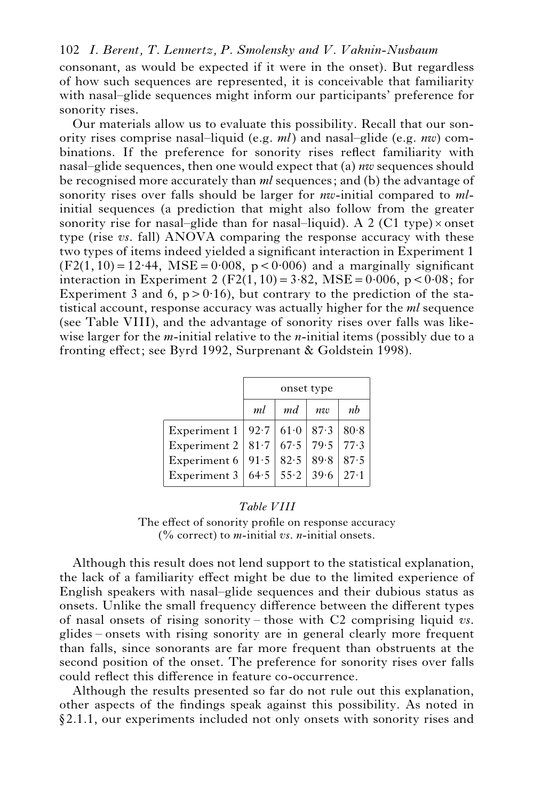consonant, as would be expected if it were in the onset). But regardless of how such sequences are represented, it is conceivable that familiarity with nasal–glide sequences might inform our participants' preference for sonority rises.

Our materials allow us to evaluate this possibility. Recall that our sonority rises comprise nasal–liquid (e.g. *ml*) and nasal–glide (e.g. *nw*) combinations. If the preference for sonority rises reflect familiarity with nasal–glide sequences, then one would expect that (a) *nw* sequences should be recognised more accurately than *ml* sequences; and (b) the advantage of sonority rises over falls should be larger for *nw*-initial compared to *ml*initial sequences (a prediction that might also follow from the greater sonority rise for nasal–glide than for nasal–liquid). A 2 (C1 type) $\times$  onset type (rise *vs*. fall) ANOVA comparing the response accuracy with these two types of items indeed yielded a significant interaction in Experiment 1  $(F2(1, 10)=12.44$ , MSE = 0.008, p < 0.006) and a marginally significant interaction in Experiment 2 (F2(1, 10) =  $3.82$ , MSE =  $0.006$ , p <  $0.08$ ; for Experiment 3 and 6,  $p > 0.16$ ), but contrary to the prediction of the statistical account, response accuracy was actually higher for the *ml* sequence (see Table VIII), and the advantage of sonority rises over falls was likewise larger for the *m*-initial relative to the *n-*initial items (possibly due to a fronting effect; see Byrd 1992, Surprenant & Goldstein 1998).

|              | onset type               |                    |                       |      |  |  |  |
|--------------|--------------------------|--------------------|-----------------------|------|--|--|--|
|              | nb<br>ml<br>md<br>$n\nu$ |                    |                       |      |  |  |  |
| Experiment 1 |                          | 92.7   61.0   87.3 |                       | 80.8 |  |  |  |
| Experiment 2 |                          |                    | 81.7   67.5   79.5    | 77.3 |  |  |  |
| Experiment 6 |                          | $91.5$ 82.5        | 89.8                  | 87.5 |  |  |  |
| Experiment 3 |                          |                    | $64.5$ 55.2 39.6 27.1 |      |  |  |  |

#### *Table VIII*

The effect of sonority profile on response accuracy (% correct) to *m-*initial *vs. n-*initial onsets.

Although this result does not lend support to the statistical explanation, the lack of a familiarity effect might be due to the limited experience of English speakers with nasal–glide sequences and their dubious status as onsets. Unlike the small frequency difference between the different types of nasal onsets of rising sonority – those with C2 comprising liquid *vs*. glides – onsets with rising sonority are in general clearly more frequent than falls, since sonorants are far more frequent than obstruents at the second position of the onset. The preference for sonority rises over falls could reflect this difference in feature co-occurrence.

Although the results presented so far do not rule out this explanation, other aspects of the findings speak against this possibility. As noted in  $§2.1.1$ , our experiments included not only onsets with sonority rises and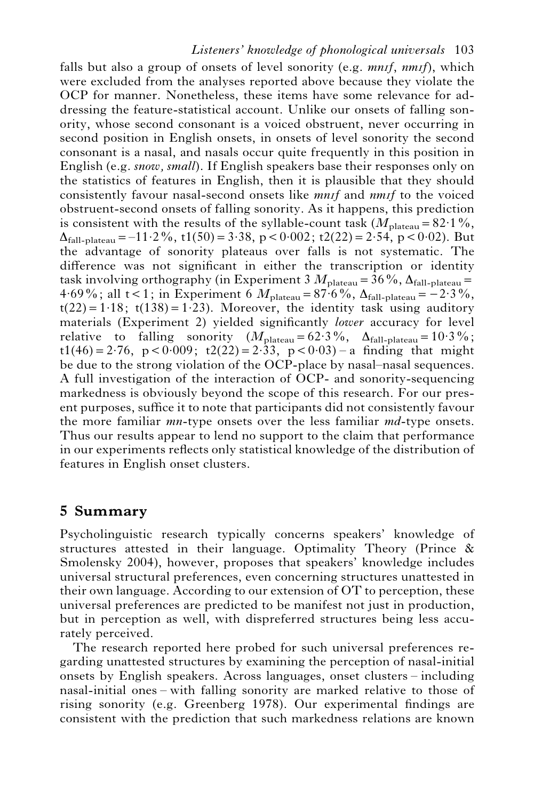#### *Listeners' knowledge of phonological universals* 103

falls but also a group of onsets of level sonority (e.g. *mnif, nmif)*, which were excluded from the analyses reported above because they violate the OCP for manner. Nonetheless, these items have some relevance for addressing the feature-statistical account. Unlike our onsets of falling sonority, whose second consonant is a voiced obstruent, never occurring in second position in English onsets, in onsets of level sonority the second consonant is a nasal, and nasals occur quite frequently in this position in English (e.g. *snow, small*). If English speakers base their responses only on the statistics of features in English, then it is plausible that they should consistently favour nasal-second onsets like *mnif* and *nmif* to the voiced obstruent-second onsets of falling sonority. As it happens, this prediction is consistent with the results of the syllable-count task  $(M_{\text{plateau}}=82.1\%$ ,  $\Delta_{\text{fall-nlatean}} = -11.2\%$ , t1(50) = 3.38, p < 0.002; t2(22) = 2.54, p < 0.02). But the advantage of sonority plateaus over falls is not systematic. The difference was not significant in either the transcription or identity task involving orthography (in Experiment 3  $M_{\text{plateau}} = 36\%$ ,  $\Delta_{\text{fall-blatean}} =$ 4.69%; all  $t < 1$ ; in Experiment 6  $M_{\text{plateau}} = 87.6\%$ ,  $\Delta_{\text{fall-plateau}} = -2.3\%$ ,  $t(22) = 1.18$ ;  $t(138) = 1.23$ ). Moreover, the identity task using auditory materials (Experiment 2) yielded significantly *lower* accuracy for level relative to falling sonority  $(M_{\text{plateau}}=62.3\%, \Delta_{\text{fall-plateau}}=10.3\%;$  $t1(46) = 2.76$ ,  $p < 0.009$ ;  $t2(22) = 2.33$ ,  $p < 0.03$ ) – a finding that might be due to the strong violation of the OCP-place by nasal–nasal sequences. A full investigation of the interaction of OCP- and sonority-sequencing markedness is obviously beyond the scope of this research. For our present purposes, suffice it to note that participants did not consistently favour the more familiar *mn-*type onsets over the less familiar *md*-type onsets. Thus our results appear to lend no support to the claim that performance in our experiments reflects only statistical knowledge of the distribution of features in English onset clusters.

# **5 Summary**

Psycholinguistic research typically concerns speakers' knowledge of structures attested in their language. Optimality Theory (Prince & Smolensky 2004), however, proposes that speakers' knowledge includes universal structural preferences, even concerning structures unattested in their own language. According to our extension of OT to perception, these universal preferences are predicted to be manifest not just in production, but in perception as well, with dispreferred structures being less accurately perceived.

The research reported here probed for such universal preferences regarding unattested structures by examining the perception of nasal-initial onsets by English speakers. Across languages, onset clusters – including nasal-initial ones – with falling sonority are marked relative to those of rising sonority (e.g. Greenberg 1978). Our experimental findings are consistent with the prediction that such markedness relations are known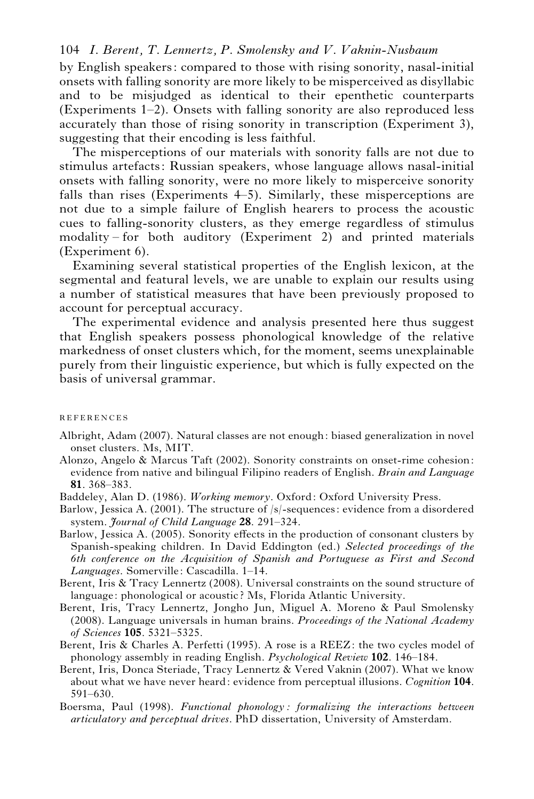by English speakers: compared to those with rising sonority, nasal-initial onsets with falling sonority are more likely to be misperceived as disyllabic and to be misjudged as identical to their epenthetic counterparts (Experiments 1–2). Onsets with falling sonority are also reproduced less accurately than those of rising sonority in transcription (Experiment 3), suggesting that their encoding is less faithful.

The misperceptions of our materials with sonority falls are not due to stimulus artefacts: Russian speakers, whose language allows nasal-initial onsets with falling sonority, were no more likely to misperceive sonority falls than rises (Experiments 4–5). Similarly, these misperceptions are not due to a simple failure of English hearers to process the acoustic cues to falling-sonority clusters, as they emerge regardless of stimulus modality – for both auditory (Experiment 2) and printed materials (Experiment 6).

Examining several statistical properties of the English lexicon, at the segmental and featural levels, we are unable to explain our results using a number of statistical measures that have been previously proposed to account for perceptual accuracy.

The experimental evidence and analysis presented here thus suggest that English speakers possess phonological knowledge of the relative markedness of onset clusters which, for the moment, seems unexplainable purely from their linguistic experience, but which is fully expected on the basis of universal grammar.

#### **REFERENCES**

- Albright, Adam (2007). Natural classes are not enough: biased generalization in novel onset clusters. Ms, MIT.
- Alonzo, Angelo & Marcus Taft (2002). Sonority constraints on onset-rime cohesion: evidence from native and bilingual Filipino readers of English. *Brain and Language* **81**. 368–383.
- Baddeley, Alan D. (1986). *Working memory*. Oxford: Oxford University Press.
- Barlow, Jessica A. (2001). The structure of /s/-sequences: evidence from a disordered system. *Journal of Child Language* **28**. 291–324.
- Barlow, Jessica A. (2005). Sonority effects in the production of consonant clusters by Spanish-speaking children. In David Eddington (ed.) *Selected proceedings of the 6th conference on the Acquisition of Spanish and Portuguese as First and Second Languages*. Somerville: Cascadilla. 1–14.
- Berent, Iris & Tracy Lennertz (2008). Universal constraints on the sound structure of language: phonological or acoustic? Ms, Florida Atlantic University.
- Berent, Iris, Tracy Lennertz, Jongho Jun, Miguel A. Moreno & Paul Smolensky (2008). Language universals in human brains. *Proceedings of the National Academy of Sciences* **105**. 5321–5325.
- Berent, Iris & Charles A. Perfetti (1995). A rose is a REEZ: the two cycles model of phonology assembly in reading English. *Psychological Review* **102**. 146–184.
- Berent, Iris, Donca Steriade, Tracy Lennertz & Vered Vaknin (2007). What we know about what we have never heard: evidence from perceptual illusions. *Cognition* **104**. 591–630.
- Boersma, Paul (1998). *Functional phonology : formalizing the interactions between articulatory and perceptual drives*. PhD dissertation, University of Amsterdam.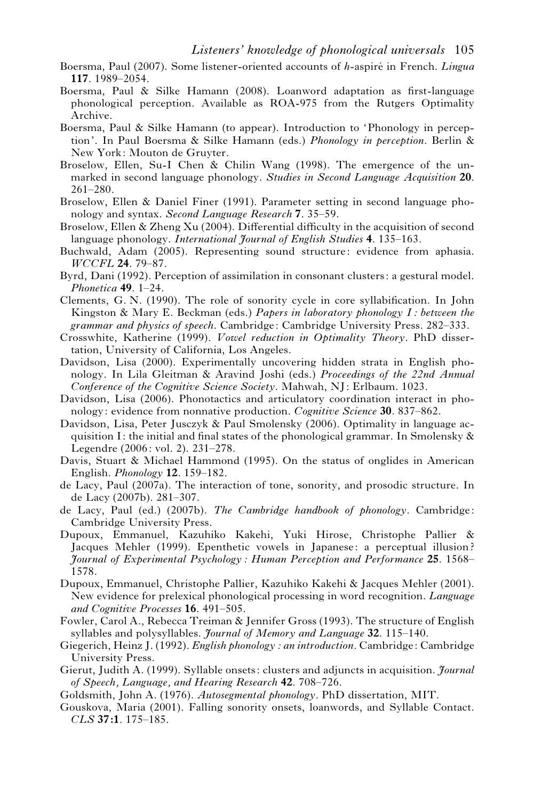- Boersma, Paul (2007). Some listener-oriented accounts of *h*-aspire´ in French. *Lingua* **117**. 1989–2054.
- Boersma, Paul & Silke Hamann (2008). Loanword adaptation as first-language phonological perception. Available as ROA-975 from the Rutgers Optimality Archive.
- Boersma, Paul & Silke Hamann (to appear). Introduction to 'Phonology in perception'. In Paul Boersma & Silke Hamann (eds.) *Phonology in perception*. Berlin & New York: Mouton de Gruyter.
- Broselow, Ellen, Su-I Chen & Chilin Wang (1998). The emergence of the unmarked in second language phonology. *Studies in Second Language Acquisition* **20**. 261–280.
- Broselow, Ellen & Daniel Finer (1991). Parameter setting in second language phonology and syntax. *Second Language Research* **7**. 35–59.
- Broselow, Ellen & Zheng Xu (2004). Differential difficulty in the acquisition of second language phonology. *International Journal of English Studies* **4**. 135–163.
- Buchwald, Adam (2005). Representing sound structure: evidence from aphasia. *WCCFL* **24**. 79–87.
- Byrd, Dani (1992). Perception of assimilation in consonant clusters: a gestural model. *Phonetica* **49**. 1–24.
- Clements, G. N. (1990). The role of sonority cycle in core syllabification. In John Kingston & Mary E. Beckman (eds.) *Papers in laboratory phonology I : between the grammar and physics of speech*. Cambridge: Cambridge University Press. 282–333.
- Crosswhite, Katherine (1999). *Vowel reduction in Optimality Theory*. PhD dissertation, University of California, Los Angeles.
- Davidson, Lisa (2000). Experimentally uncovering hidden strata in English phonology. In Lila Gleitman & Aravind Joshi (eds.) *Proceedings of the 22nd Annual Conference of the Cognitive Science Society*. Mahwah, NJ: Erlbaum. 1023.
- Davidson, Lisa (2006). Phonotactics and articulatory coordination interact in phonology: evidence from nonnative production. *Cognitive Science* **30**. 837–862.
- Davidson, Lisa, Peter Jusczyk & Paul Smolensky (2006). Optimality in language acquisition I: the initial and final states of the phonological grammar. In Smolensky  $\&$ Legendre (2006: vol. 2). 231–278.
- Davis, Stuart & Michael Hammond (1995). On the status of onglides in American English. *Phonology* **12**. 159–182.
- de Lacy, Paul (2007a). The interaction of tone, sonority, and prosodic structure. In de Lacy (2007b). 281–307.
- de Lacy, Paul (ed.) (2007b). *The Cambridge handbook of phonology*. Cambridge: Cambridge University Press.
- Dupoux, Emmanuel, Kazuhiko Kakehi, Yuki Hirose, Christophe Pallier & Jacques Mehler (1999). Epenthetic vowels in Japanese: a perceptual illusion ? *Journal of Experimental Psychology: Human Perception and Performance* **25**. 1568– 1578.
- Dupoux, Emmanuel, Christophe Pallier, Kazuhiko Kakehi & Jacques Mehler (2001). New evidence for prelexical phonological processing in word recognition. *Language and Cognitive Processes* **16**. 491–505.
- Fowler, Carol A., Rebecca Treiman & Jennifer Gross (1993). The structure of English syllables and polysyllables. *Journal of Memory and Language* **32**. 115–140.
- Giegerich, Heinz J. (1992). *English phonology : an introduction*. Cambridge: Cambridge University Press.
- Gierut, Judith A. (1999). Syllable onsets: clusters and adjuncts in acquisition. *Journal of Speech, Language, and Hearing Research* **42**. 708–726.
- Goldsmith, John A. (1976). *Autosegmental phonology*. PhD dissertation, MIT.
- Gouskova, Maria (2001). Falling sonority onsets, loanwords, and Syllable Contact. *CLS* **37:1**. 175–185.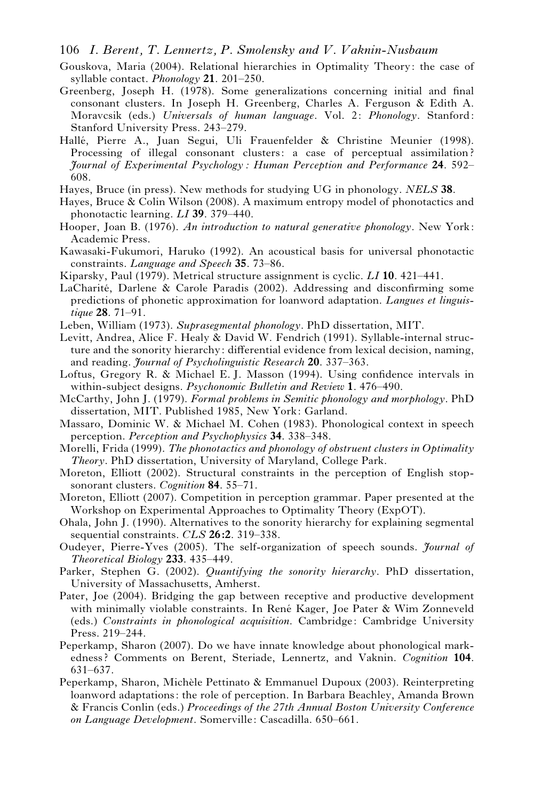- 106 *I. Berent, T. Lennertz, P. Smolensky and V. Vaknin-Nusbaum*
- Gouskova, Maria (2004). Relational hierarchies in Optimality Theory: the case of syllable contact. *Phonology* **21**. 201–250.
- Greenberg, Joseph H. (1978). Some generalizations concerning initial and final consonant clusters. In Joseph H. Greenberg, Charles A. Ferguson & Edith A. Moravcsik (eds.) *Universals of human language*. Vol. 2: *Phonology*. Stanford: Stanford University Press. 243–279.
- Hallé, Pierre A., Juan Segui, Uli Frauenfelder & Christine Meunier (1998). Processing of illegal consonant clusters: a case of perceptual assimilation ? *Journal of Experimental Psychology: Human Perception and Performance* **24**. 592– 608.
- Hayes, Bruce (in press). New methods for studying UG in phonology. *NELS* **38**.
- Hayes, Bruce & Colin Wilson (2008). A maximum entropy model of phonotactics and phonotactic learning. *LI* **39**. 379–440.
- Hooper, Joan B. (1976). *An introduction to natural generative phonology*. New York: Academic Press.
- Kawasaki-Fukumori, Haruko (1992). An acoustical basis for universal phonotactic constraints. *Language and Speech* **35**. 73–86.
- Kiparsky, Paul (1979). Metrical structure assignment is cyclic. *LI* **10**. 421–441.
- LaCharité, Darlene & Carole Paradis (2002). Addressing and disconfirming some predictions of phonetic approximation for loanword adaptation. *Langues et linguistique* **28**. 71–91.
- Leben, William (1973). *Suprasegmental phonology*. PhD dissertation, MIT.
- Levitt, Andrea, Alice F. Healy & David W. Fendrich (1991). Syllable-internal structure and the sonority hierarchy: differential evidence from lexical decision, naming, and reading. *Journal of Psycholinguistic Research* **20**. 337–363.
- Loftus, Gregory R. & Michael E. J. Masson (1994). Using confidence intervals in within-subject designs. *Psychonomic Bulletin and Review* **1**. 476–490.
- McCarthy, John J. (1979). *Formal problems in Semitic phonology and morphology*. PhD dissertation, MIT. Published 1985, New York: Garland.
- Massaro, Dominic W. & Michael M. Cohen (1983). Phonological context in speech perception. *Perception and Psychophysics* **34**. 338–348.
- Morelli, Frida (1999). *The phonotactics and phonology of obstruent clusters in Optimality Theory*. PhD dissertation, University of Maryland, College Park.
- Moreton, Elliott (2002). Structural constraints in the perception of English stopsonorant clusters. *Cognition* **84**. 55–71.
- Moreton, Elliott (2007). Competition in perception grammar. Paper presented at the Workshop on Experimental Approaches to Optimality Theory (ExpOT).
- Ohala, John J. (1990). Alternatives to the sonority hierarchy for explaining segmental sequential constraints. *CLS* **26:2**. 319–338.
- Oudeyer, Pierre-Yves (2005). The self-organization of speech sounds. *Journal of Theoretical Biology* **233**. 435–449.
- Parker, Stephen G. (2002). *Quantifying the sonority hierarchy*. PhD dissertation, University of Massachusetts, Amherst.
- Pater, Joe (2004). Bridging the gap between receptive and productive development with minimally violable constraints. In René Kager, Joe Pater & Wim Zonneveld (eds.) *Constraints in phonological acquisition*. Cambridge: Cambridge University Press. 219–244.
- Peperkamp, Sharon (2007). Do we have innate knowledge about phonological markedness? Comments on Berent, Steriade, Lennertz, and Vaknin. *Cognition* **104**. 631–637.
- Peperkamp, Sharon, Michèle Pettinato & Emmanuel Dupoux (2003). Reinterpreting loanword adaptations: the role of perception. In Barbara Beachley, Amanda Brown & Francis Conlin (eds.) *Proceedings of the 27th Annual Boston University Conference on Language Development*. Somerville: Cascadilla. 650–661.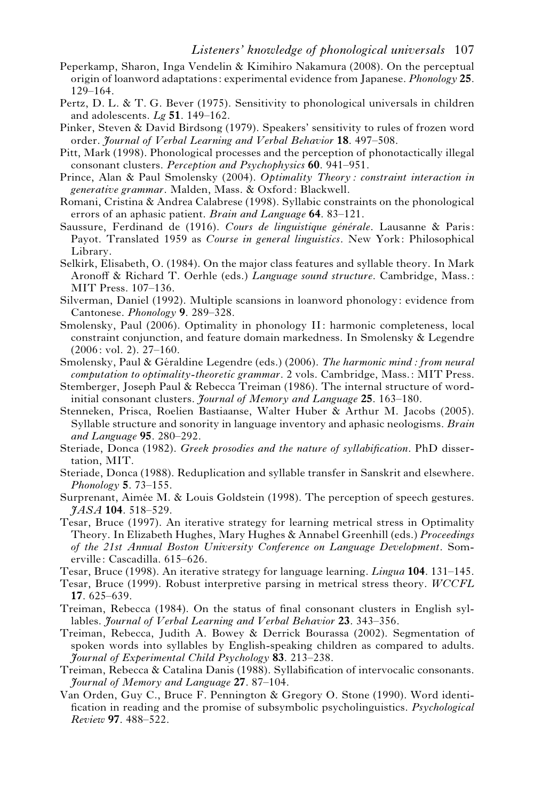- Peperkamp, Sharon, Inga Vendelin & Kimihiro Nakamura (2008). On the perceptual origin of loanword adaptations: experimental evidence from Japanese. *Phonology* **25**. 129–164.
- Pertz, D. L. & T. G. Bever (1975). Sensitivity to phonological universals in children and adolescents. *Lg* **51**. 149–162.
- Pinker, Steven & David Birdsong (1979). Speakers' sensitivity to rules of frozen word order. *Journal of Verbal Learning and Verbal Behavior* **18**. 497–508.
- Pitt, Mark (1998). Phonological processes and the perception of phonotactically illegal consonant clusters. *Perception and Psychophysics* **60**. 941–951.
- Prince, Alan & Paul Smolensky (2004). *Optimality Theory: constraint interaction in generative grammar*. Malden, Mass. & Oxford: Blackwell.
- Romani, Cristina & Andrea Calabrese (1998). Syllabic constraints on the phonological errors of an aphasic patient. *Brain and Language* **64**. 83–121.
- Saussure, Ferdinand de (1916). Cours de linguistique générale. Lausanne & Paris: Payot. Translated 1959 as *Course in general linguistics*. New York: Philosophical Library.
- Selkirk, Elisabeth, O. (1984). On the major class features and syllable theory. In Mark Aronoff & Richard T. Oerhle (eds.) *Language sound structure*. Cambridge, Mass.: MIT Press. 107–136.
- Silverman, Daniel (1992). Multiple scansions in loanword phonology: evidence from Cantonese. *Phonology* **9**. 289–328.
- Smolensky, Paul (2006). Optimality in phonology II: harmonic completeness, local constraint conjunction, and feature domain markedness. In Smolensky & Legendre (2006: vol. 2). 27–160.
- Smolensky, Paul & Ge´raldine Legendre (eds.) (2006). *The harmonic mind: from neural computation to optimality-theoretic grammar*. 2 vols. Cambridge, Mass.: MIT Press.
- Stemberger, Joseph Paul & Rebecca Treiman (1986). The internal structure of wordinitial consonant clusters. *Journal of Memory and Language* **25**. 163–180.
- Stenneken, Prisca, Roelien Bastiaanse, Walter Huber & Arthur M. Jacobs (2005). Syllable structure and sonority in language inventory and aphasic neologisms. *Brain and Language* **95**. 280–292.
- Steriade, Donca (1982). *Greek prosodies and the nature of syllabification*. PhD dissertation, MIT.
- Steriade, Donca (1988). Reduplication and syllable transfer in Sanskrit and elsewhere. *Phonology* **5**. 73–155.
- Surprenant, Aimée M. & Louis Goldstein (1998). The perception of speech gestures. *JASA* **104**. 518–529.
- Tesar, Bruce (1997). An iterative strategy for learning metrical stress in Optimality Theory. In Elizabeth Hughes, Mary Hughes & Annabel Greenhill (eds.) *Proceedings of the 21st Annual Boston University Conference on Language Development*. Somerville: Cascadilla. 615–626.
- Tesar, Bruce (1998). An iterative strategy for language learning. *Lingua* **104**. 131–145.
- Tesar, Bruce (1999). Robust interpretive parsing in metrical stress theory. *WCCFL* **17**. 625–639.
- Treiman, Rebecca (1984). On the status of final consonant clusters in English syllables. *Journal of Verbal Learning and Verbal Behavior* **23**. 343–356.
- Treiman, Rebecca, Judith A. Bowey & Derrick Bourassa (2002). Segmentation of spoken words into syllables by English-speaking children as compared to adults. *Journal of Experimental Child Psychology* **83**. 213–238.
- Treiman, Rebecca & Catalina Danis (1988). Syllabification of intervocalic consonants. *Journal of Memory and Language* **27**. 87–104.
- Van Orden, Guy C., Bruce F. Pennington & Gregory O. Stone (1990). Word identification in reading and the promise of subsymbolic psycholinguistics. *Psychological Review* **97**. 488–522.